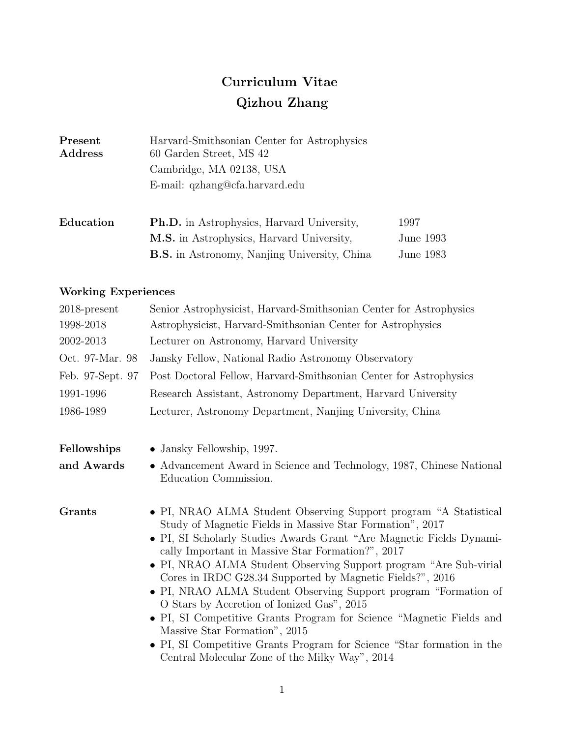# Curriculum Vitae Qizhou Zhang

| Present<br>Address | Harvard-Smithsonian Center for Astrophysics<br>60 Garden Street, MS 42 |           |
|--------------------|------------------------------------------------------------------------|-----------|
|                    | Cambridge, MA 02138, USA                                               |           |
|                    | E-mail: qzhang@cfa.harvard.edu                                         |           |
| Education          | <b>Ph.D.</b> in Astrophysics, Harvard University,                      | 1997      |
|                    | <b>M.S.</b> in Astrophysics, Harvard University,                       | June 1993 |
|                    | <b>B.S.</b> in Astronomy, Nanjing University, China                    | June 1983 |

# Working Experiences

| $2018$ -present  | Senior Astrophysicist, Harvard-Smithsonian Center for Astrophysics                                                                                                                                                                                                                                                                                                                                                                                                                                                                                                                                                                                                                                                                                  |  |
|------------------|-----------------------------------------------------------------------------------------------------------------------------------------------------------------------------------------------------------------------------------------------------------------------------------------------------------------------------------------------------------------------------------------------------------------------------------------------------------------------------------------------------------------------------------------------------------------------------------------------------------------------------------------------------------------------------------------------------------------------------------------------------|--|
| 1998-2018        | Astrophysicist, Harvard-Smithsonian Center for Astrophysics                                                                                                                                                                                                                                                                                                                                                                                                                                                                                                                                                                                                                                                                                         |  |
| 2002-2013        | Lecturer on Astronomy, Harvard University                                                                                                                                                                                                                                                                                                                                                                                                                                                                                                                                                                                                                                                                                                           |  |
| Oct. 97-Mar. 98  | Jansky Fellow, National Radio Astronomy Observatory                                                                                                                                                                                                                                                                                                                                                                                                                                                                                                                                                                                                                                                                                                 |  |
| Feb. 97-Sept. 97 | Post Doctoral Fellow, Harvard-Smithsonian Center for Astrophysics                                                                                                                                                                                                                                                                                                                                                                                                                                                                                                                                                                                                                                                                                   |  |
| 1991-1996        | Research Assistant, Astronomy Department, Harvard University                                                                                                                                                                                                                                                                                                                                                                                                                                                                                                                                                                                                                                                                                        |  |
| 1986-1989        | Lecturer, Astronomy Department, Nanjing University, China                                                                                                                                                                                                                                                                                                                                                                                                                                                                                                                                                                                                                                                                                           |  |
| Fellowships      | • Jansky Fellowship, 1997.                                                                                                                                                                                                                                                                                                                                                                                                                                                                                                                                                                                                                                                                                                                          |  |
| and Awards       | • Advancement Award in Science and Technology, 1987, Chinese National<br>Education Commission.                                                                                                                                                                                                                                                                                                                                                                                                                                                                                                                                                                                                                                                      |  |
| <b>Grants</b>    | • PI, NRAO ALMA Student Observing Support program "A Statistical<br>Study of Magnetic Fields in Massive Star Formation", 2017<br>• PI, SI Scholarly Studies Awards Grant "Are Magnetic Fields Dynami-<br>cally Important in Massive Star Formation?", 2017<br>• PI, NRAO ALMA Student Observing Support program "Are Sub-virial"<br>Cores in IRDC G28.34 Supported by Magnetic Fields?", 2016<br>• PI, NRAO ALMA Student Observing Support program "Formation of<br>O Stars by Accretion of Ionized Gas", 2015<br>• PI, SI Competitive Grants Program for Science "Magnetic Fields and<br>Massive Star Formation", 2015<br>• PI, SI Competitive Grants Program for Science "Star formation in the<br>Central Molecular Zone of the Milky Way", 2014 |  |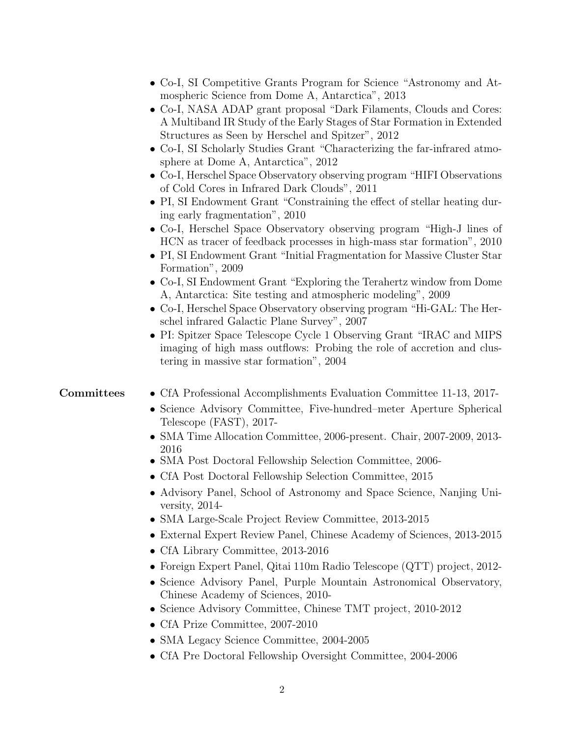|            | • Co-I, SI Competitive Grants Program for Science "Astronomy and At-<br>mospheric Science from Dome A, Antarctica", 2013<br>• Co-I, NASA ADAP grant proposal "Dark Filaments, Clouds and Cores:<br>A Multiband IR Study of the Early Stages of Star Formation in Extended<br>Structures as Seen by Herschel and Spitzer", 2012<br>• Co-I, SI Scholarly Studies Grant "Characterizing the far-infrared atmo-<br>sphere at Dome A, Antarctica", 2012<br>• Co-I, Herschel Space Observatory observing program "HIFI Observations"<br>of Cold Cores in Infrared Dark Clouds", 2011<br>• PI, SI Endowment Grant "Constraining the effect of stellar heating dur-<br>ing early fragmentation", 2010<br>• Co-I, Herschel Space Observatory observing program "High-J lines of<br>HCN as tracer of feedback processes in high-mass star formation", 2010<br>• PI, SI Endowment Grant "Initial Fragmentation for Massive Cluster Star<br>Formation", 2009<br>• Co-I, SI Endowment Grant "Exploring the Terahertz window from Dome<br>A, Antarctica: Site testing and atmospheric modeling", 2009 |
|------------|-----------------------------------------------------------------------------------------------------------------------------------------------------------------------------------------------------------------------------------------------------------------------------------------------------------------------------------------------------------------------------------------------------------------------------------------------------------------------------------------------------------------------------------------------------------------------------------------------------------------------------------------------------------------------------------------------------------------------------------------------------------------------------------------------------------------------------------------------------------------------------------------------------------------------------------------------------------------------------------------------------------------------------------------------------------------------------------------|
|            | • Co-I, Herschel Space Observatory observing program "Hi-GAL: The Her-<br>schel infrared Galactic Plane Survey", 2007<br>• PI: Spitzer Space Telescope Cycle 1 Observing Grant "IRAC and MIPS<br>imaging of high mass outflows: Probing the role of accretion and clus-<br>tering in massive star formation", 2004                                                                                                                                                                                                                                                                                                                                                                                                                                                                                                                                                                                                                                                                                                                                                                      |
| Committees | • CfA Professional Accomplishments Evaluation Committee 11-13, 2017-<br>• Science Advisory Committee, Five-hundred-meter Aperture Spherical<br>Telescope (FAST), 2017-<br>• SMA Time Allocation Committee, 2006-present. Chair, 2007-2009, 2013-                                                                                                                                                                                                                                                                                                                                                                                                                                                                                                                                                                                                                                                                                                                                                                                                                                        |
|            | 2016<br>• SMA Post Doctoral Fellowship Selection Committee, 2006-<br>• CfA Post Doctoral Fellowship Selection Committee, 2015<br>• Advisory Panel, School of Astronomy and Space Science, Nanjing Uni-<br>versity, $2014$<br>• SMA Large-Scale Project Review Committee, 2013-2015                                                                                                                                                                                                                                                                                                                                                                                                                                                                                                                                                                                                                                                                                                                                                                                                      |
|            | • External Expert Review Panel, Chinese Academy of Sciences, 2013-2015<br>• CfA Library Committee, $2013-2016$                                                                                                                                                                                                                                                                                                                                                                                                                                                                                                                                                                                                                                                                                                                                                                                                                                                                                                                                                                          |
|            | • Foreign Expert Panel, Qitai 110m Radio Telescope $(QTT)$ project, 2012-<br>• Science Advisory Panel, Purple Mountain Astronomical Observatory,<br>Chinese Academy of Sciences, 2010-<br>• Science Advisory Committee, Chinese TMT project, 2010-2012                                                                                                                                                                                                                                                                                                                                                                                                                                                                                                                                                                                                                                                                                                                                                                                                                                  |
|            | • CfA Prize Committee, 2007-2010<br>• SMA Legacy Science Committee, 2004-2005                                                                                                                                                                                                                                                                                                                                                                                                                                                                                                                                                                                                                                                                                                                                                                                                                                                                                                                                                                                                           |

• CfA Pre Doctoral Fellowship Oversight Committee, 2004-2006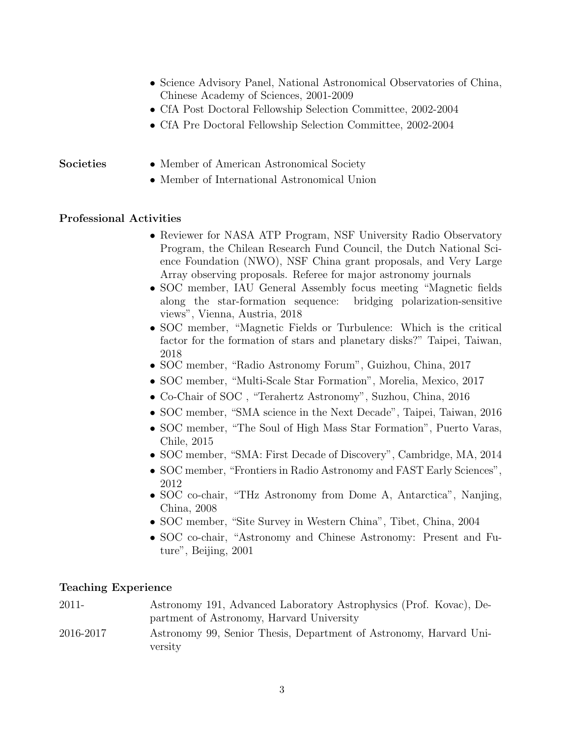- Science Advisory Panel, National Astronomical Observatories of China, Chinese Academy of Sciences, 2001-2009
- CfA Post Doctoral Fellowship Selection Committee, 2002-2004
- CfA Pre Doctoral Fellowship Selection Committee, 2002-2004

# Societies • Member of American Astronomical Society

• Member of International Astronomical Union

# Professional Activities

- Reviewer for NASA ATP Program, NSF University Radio Observatory Program, the Chilean Research Fund Council, the Dutch National Science Foundation (NWO), NSF China grant proposals, and Very Large Array observing proposals. Referee for major astronomy journals
- SOC member, IAU General Assembly focus meeting "Magnetic fields along the star-formation sequence: bridging polarization-sensitive views", Vienna, Austria, 2018
- SOC member, "Magnetic Fields or Turbulence: Which is the critical factor for the formation of stars and planetary disks?" Taipei, Taiwan, 2018
- SOC member, "Radio Astronomy Forum", Guizhou, China, 2017
- SOC member, "Multi-Scale Star Formation", Morelia, Mexico, 2017
- Co-Chair of SOC , "Terahertz Astronomy", Suzhou, China, 2016
- SOC member, "SMA science in the Next Decade", Taipei, Taiwan, 2016
- SOC member, "The Soul of High Mass Star Formation", Puerto Varas, Chile, 2015
- SOC member, "SMA: First Decade of Discovery", Cambridge, MA, 2014
- SOC member, "Frontiers in Radio Astronomy and FAST Early Sciences", 2012
- SOC co-chair, "THz Astronomy from Dome A, Antarctica", Nanjing, China, 2008
- SOC member, "Site Survey in Western China", Tibet, China, 2004
- SOC co-chair, "Astronomy and Chinese Astronomy: Present and Future", Beijing, 2001

### Teaching Experience

| 2011-     | Astronomy 191, Advanced Laboratory Astrophysics (Prof. Kovac), De- |
|-----------|--------------------------------------------------------------------|
|           | partment of Astronomy, Harvard University                          |
| 2016-2017 | Astronomy 99, Senior Thesis, Department of Astronomy, Harvard Uni- |
|           | versity                                                            |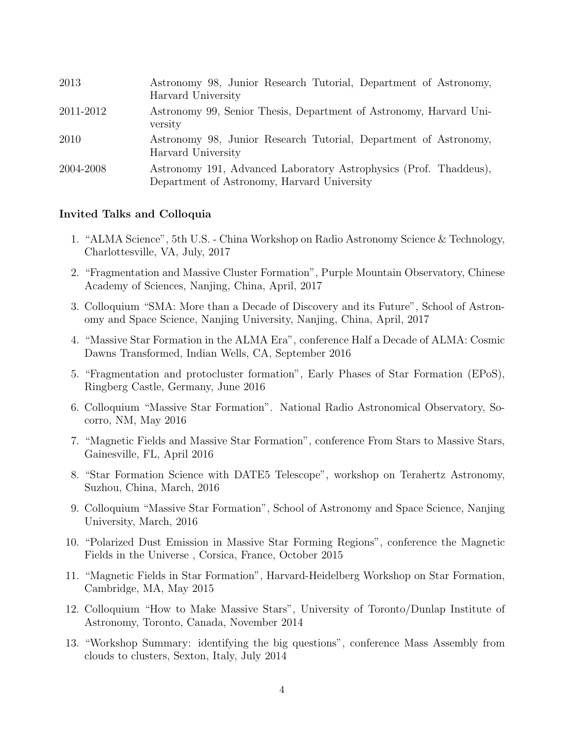| 2013      | Astronomy 98, Junior Research Tutorial, Department of Astronomy,<br>Harvard University                           |
|-----------|------------------------------------------------------------------------------------------------------------------|
| 2011-2012 | Astronomy 99, Senior Thesis, Department of Astronomy, Harvard Uni-<br>versity                                    |
| 2010      | Astronomy 98, Junior Research Tutorial, Department of Astronomy,<br>Harvard University                           |
| 2004-2008 | Astronomy 191, Advanced Laboratory Astrophysics (Prof. Thaddeus),<br>Department of Astronomy, Harvard University |

# Invited Talks and Colloquia

- 1. "ALMA Science", 5th U.S. China Workshop on Radio Astronomy Science & Technology, Charlottesville, VA, July, 2017
- 2. "Fragmentation and Massive Cluster Formation", Purple Mountain Observatory, Chinese Academy of Sciences, Nanjing, China, April, 2017
- 3. Colloquium "SMA: More than a Decade of Discovery and its Future", School of Astronomy and Space Science, Nanjing University, Nanjing, China, April, 2017
- 4. "Massive Star Formation in the ALMA Era", conference Half a Decade of ALMA: Cosmic Dawns Transformed, Indian Wells, CA, September 2016
- 5. "Fragmentation and protocluster formation", Early Phases of Star Formation (EPoS), Ringberg Castle, Germany, June 2016
- 6. Colloquium "Massive Star Formation". National Radio Astronomical Observatory, Socorro, NM, May 2016
- 7. "Magnetic Fields and Massive Star Formation", conference From Stars to Massive Stars, Gainesville, FL, April 2016
- 8. "Star Formation Science with DATE5 Telescope", workshop on Terahertz Astronomy, Suzhou, China, March, 2016
- 9. Colloquium "Massive Star Formation", School of Astronomy and Space Science, Nanjing University, March, 2016
- 10. "Polarized Dust Emission in Massive Star Forming Regions", conference the Magnetic Fields in the Universe , Corsica, France, October 2015
- 11. "Magnetic Fields in Star Formation", Harvard-Heidelberg Workshop on Star Formation, Cambridge, MA, May 2015
- 12. Colloquium "How to Make Massive Stars", University of Toronto/Dunlap Institute of Astronomy, Toronto, Canada, November 2014
- 13. "Workshop Summary: identifying the big questions", conference Mass Assembly from clouds to clusters, Sexton, Italy, July 2014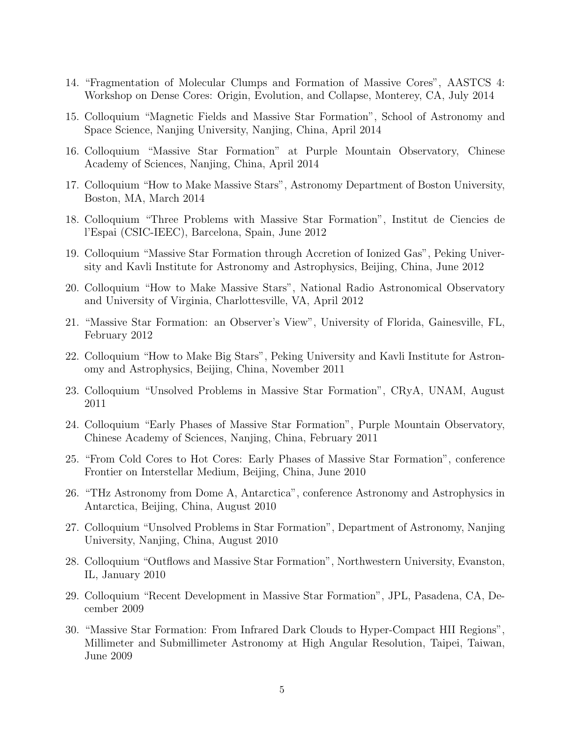- 14. "Fragmentation of Molecular Clumps and Formation of Massive Cores", AASTCS 4: Workshop on Dense Cores: Origin, Evolution, and Collapse, Monterey, CA, July 2014
- 15. Colloquium "Magnetic Fields and Massive Star Formation", School of Astronomy and Space Science, Nanjing University, Nanjing, China, April 2014
- 16. Colloquium "Massive Star Formation" at Purple Mountain Observatory, Chinese Academy of Sciences, Nanjing, China, April 2014
- 17. Colloquium "How to Make Massive Stars", Astronomy Department of Boston University, Boston, MA, March 2014
- 18. Colloquium "Three Problems with Massive Star Formation", Institut de Ciencies de l'Espai (CSIC-IEEC), Barcelona, Spain, June 2012
- 19. Colloquium "Massive Star Formation through Accretion of Ionized Gas", Peking University and Kavli Institute for Astronomy and Astrophysics, Beijing, China, June 2012
- 20. Colloquium "How to Make Massive Stars", National Radio Astronomical Observatory and University of Virginia, Charlottesville, VA, April 2012
- 21. "Massive Star Formation: an Observer's View", University of Florida, Gainesville, FL, February 2012
- 22. Colloquium "How to Make Big Stars", Peking University and Kavli Institute for Astronomy and Astrophysics, Beijing, China, November 2011
- 23. Colloquium "Unsolved Problems in Massive Star Formation", CRyA, UNAM, August 2011
- 24. Colloquium "Early Phases of Massive Star Formation", Purple Mountain Observatory, Chinese Academy of Sciences, Nanjing, China, February 2011
- 25. "From Cold Cores to Hot Cores: Early Phases of Massive Star Formation", conference Frontier on Interstellar Medium, Beijing, China, June 2010
- 26. "THz Astronomy from Dome A, Antarctica", conference Astronomy and Astrophysics in Antarctica, Beijing, China, August 2010
- 27. Colloquium "Unsolved Problems in Star Formation", Department of Astronomy, Nanjing University, Nanjing, China, August 2010
- 28. Colloquium "Outflows and Massive Star Formation", Northwestern University, Evanston, IL, January 2010
- 29. Colloquium "Recent Development in Massive Star Formation", JPL, Pasadena, CA, December 2009
- 30. "Massive Star Formation: From Infrared Dark Clouds to Hyper-Compact HII Regions", Millimeter and Submillimeter Astronomy at High Angular Resolution, Taipei, Taiwan, June 2009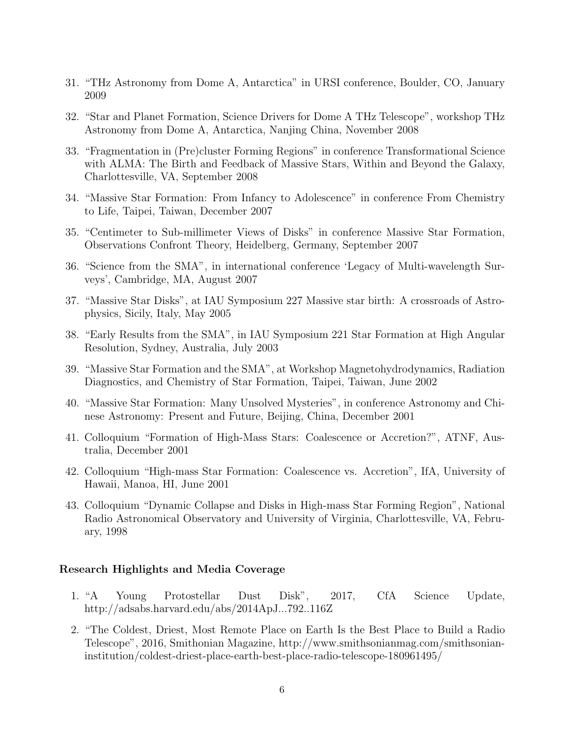- 31. "THz Astronomy from Dome A, Antarctica" in URSI conference, Boulder, CO, January 2009
- 32. "Star and Planet Formation, Science Drivers for Dome A THz Telescope", workshop THz Astronomy from Dome A, Antarctica, Nanjing China, November 2008
- 33. "Fragmentation in (Pre)cluster Forming Regions" in conference Transformational Science with ALMA: The Birth and Feedback of Massive Stars, Within and Beyond the Galaxy, Charlottesville, VA, September 2008
- 34. "Massive Star Formation: From Infancy to Adolescence" in conference From Chemistry to Life, Taipei, Taiwan, December 2007
- 35. "Centimeter to Sub-millimeter Views of Disks" in conference Massive Star Formation, Observations Confront Theory, Heidelberg, Germany, September 2007
- 36. "Science from the SMA", in international conference 'Legacy of Multi-wavelength Surveys', Cambridge, MA, August 2007
- 37. "Massive Star Disks", at IAU Symposium 227 Massive star birth: A crossroads of Astrophysics, Sicily, Italy, May 2005
- 38. "Early Results from the SMA", in IAU Symposium 221 Star Formation at High Angular Resolution, Sydney, Australia, July 2003
- 39. "Massive Star Formation and the SMA", at Workshop Magnetohydrodynamics, Radiation Diagnostics, and Chemistry of Star Formation, Taipei, Taiwan, June 2002
- 40. "Massive Star Formation: Many Unsolved Mysteries", in conference Astronomy and Chinese Astronomy: Present and Future, Beijing, China, December 2001
- 41. Colloquium "Formation of High-Mass Stars: Coalescence or Accretion?", ATNF, Australia, December 2001
- 42. Colloquium "High-mass Star Formation: Coalescence vs. Accretion", IfA, University of Hawaii, Manoa, HI, June 2001
- 43. Colloquium "Dynamic Collapse and Disks in High-mass Star Forming Region", National Radio Astronomical Observatory and University of Virginia, Charlottesville, VA, February, 1998

#### Research Highlights and Media Coverage

- 1. "A Young Protostellar Dust Disk", 2017, CfA Science Update, http://adsabs.harvard.edu/abs/2014ApJ...792..116Z
- 2. "The Coldest, Driest, Most Remote Place on Earth Is the Best Place to Build a Radio Telescope", 2016, Smithonian Magazine, http://www.smithsonianmag.com/smithsonianinstitution/coldest-driest-place-earth-best-place-radio-telescope-180961495/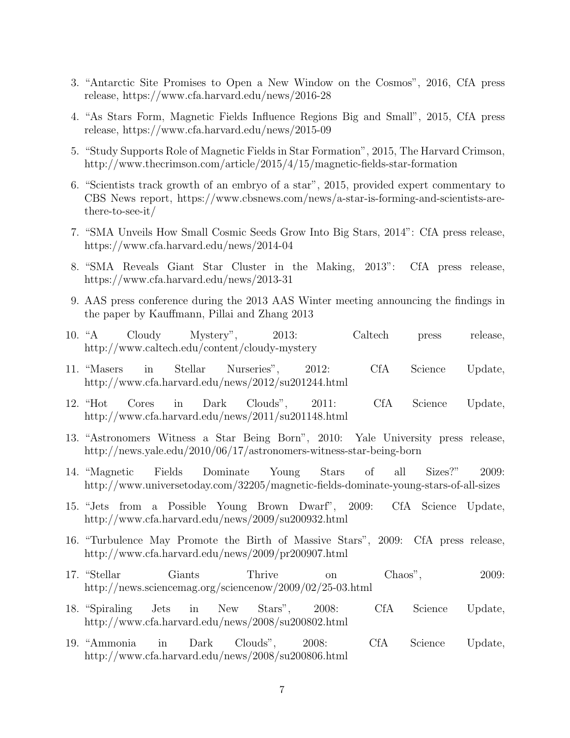- 3. "Antarctic Site Promises to Open a New Window on the Cosmos", 2016, CfA press release, https://www.cfa.harvard.edu/news/2016-28
- 4. "As Stars Form, Magnetic Fields Influence Regions Big and Small", 2015, CfA press release, https://www.cfa.harvard.edu/news/2015-09
- 5. "Study Supports Role of Magnetic Fields in Star Formation", 2015, The Harvard Crimson, http://www.thecrimson.com/article/2015/4/15/magnetic-fields-star-formation
- 6. "Scientists track growth of an embryo of a star", 2015, provided expert commentary to CBS News report, https://www.cbsnews.com/news/a-star-is-forming-and-scientists-arethere-to-see-it/
- 7. "SMA Unveils How Small Cosmic Seeds Grow Into Big Stars, 2014": CfA press release, https://www.cfa.harvard.edu/news/2014-04
- 8. "SMA Reveals Giant Star Cluster in the Making, 2013": CfA press release, https://www.cfa.harvard.edu/news/2013-31
- 9. AAS press conference during the 2013 AAS Winter meeting announcing the findings in the paper by Kauffmann, Pillai and Zhang 2013
- 10. "A Cloudy Mystery", 2013: Caltech press release, http://www.caltech.edu/content/cloudy-mystery
- 11. "Masers in Stellar Nurseries", 2012: CfA Science Update, http://www.cfa.harvard.edu/news/2012/su201244.html
- 12. "Hot Cores in Dark Clouds", 2011: CfA Science Update, http://www.cfa.harvard.edu/news/2011/su201148.html
- 13. "Astronomers Witness a Star Being Born", 2010: Yale University press release, http://news.yale.edu/2010/06/17/astronomers-witness-star-being-born
- 14. "Magnetic Fields Dominate Young Stars of all Sizes?" 2009: http://www.universetoday.com/32205/magnetic-fields-dominate-young-stars-of-all-sizes
- 15. "Jets from a Possible Young Brown Dwarf", 2009: CfA Science Update, http://www.cfa.harvard.edu/news/2009/su200932.html
- 16. "Turbulence May Promote the Birth of Massive Stars", 2009: CfA press release, http://www.cfa.harvard.edu/news/2009/pr200907.html
- 17. "Stellar Giants Thrive on Chaos", 2009: http://news.sciencemag.org/sciencenow/2009/02/25-03.html
- 18. "Spiraling Jets in New Stars", 2008: CfA Science Update, http://www.cfa.harvard.edu/news/2008/su200802.html
- 19. "Ammonia in Dark Clouds", 2008: CfA Science Update, http://www.cfa.harvard.edu/news/2008/su200806.html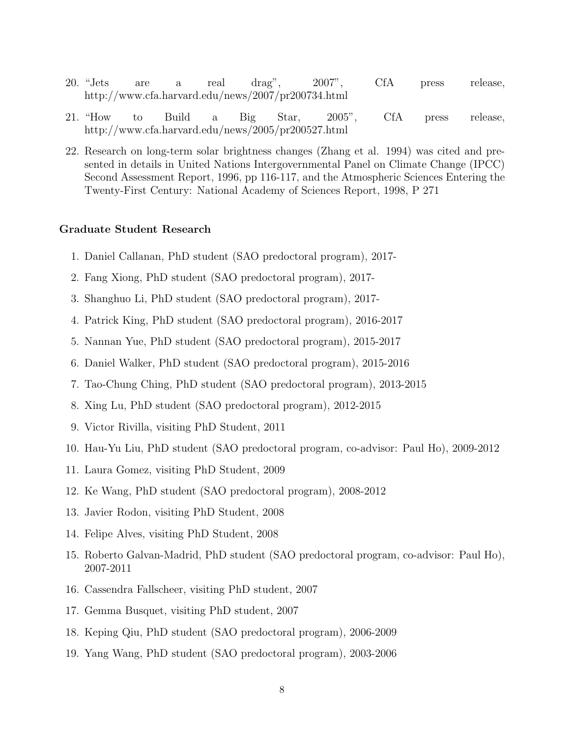- 20. "Jets are a real drag", 2007", CfA press release, http://www.cfa.harvard.edu/news/2007/pr200734.html
- 21. "How to Build a Big Star, 2005", CfA press release, http://www.cfa.harvard.edu/news/2005/pr200527.html
- 22. Research on long-term solar brightness changes (Zhang et al. 1994) was cited and presented in details in United Nations Intergovernmental Panel on Climate Change (IPCC) Second Assessment Report, 1996, pp 116-117, and the Atmospheric Sciences Entering the Twenty-First Century: National Academy of Sciences Report, 1998, P 271

#### Graduate Student Research

- 1. Daniel Callanan, PhD student (SAO predoctoral program), 2017-
- 2. Fang Xiong, PhD student (SAO predoctoral program), 2017-
- 3. Shanghuo Li, PhD student (SAO predoctoral program), 2017-
- 4. Patrick King, PhD student (SAO predoctoral program), 2016-2017
- 5. Nannan Yue, PhD student (SAO predoctoral program), 2015-2017
- 6. Daniel Walker, PhD student (SAO predoctoral program), 2015-2016
- 7. Tao-Chung Ching, PhD student (SAO predoctoral program), 2013-2015
- 8. Xing Lu, PhD student (SAO predoctoral program), 2012-2015
- 9. Victor Rivilla, visiting PhD Student, 2011
- 10. Hau-Yu Liu, PhD student (SAO predoctoral program, co-advisor: Paul Ho), 2009-2012
- 11. Laura Gomez, visiting PhD Student, 2009
- 12. Ke Wang, PhD student (SAO predoctoral program), 2008-2012
- 13. Javier Rodon, visiting PhD Student, 2008
- 14. Felipe Alves, visiting PhD Student, 2008
- 15. Roberto Galvan-Madrid, PhD student (SAO predoctoral program, co-advisor: Paul Ho), 2007-2011
- 16. Cassendra Fallscheer, visiting PhD student, 2007
- 17. Gemma Busquet, visiting PhD student, 2007
- 18. Keping Qiu, PhD student (SAO predoctoral program), 2006-2009
- 19. Yang Wang, PhD student (SAO predoctoral program), 2003-2006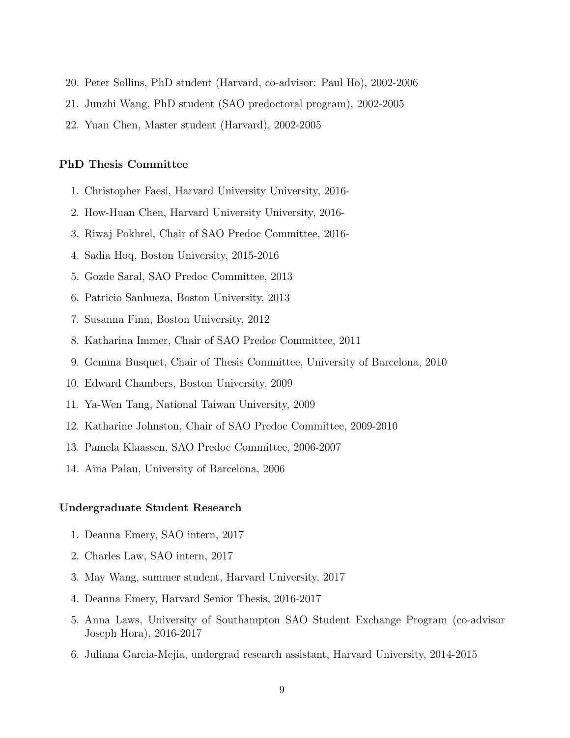- 20. Peter Sollins, PhD student (Harvard, co-advisor: Paul Ho), 2002-2006
- 21. Junzhi Wang, PhD student (SAO predoctoral program), 2002-2005
- 22. Yuan Chen, Master student (Harvard), 2002-2005

#### PhD Thesis Committee

- 1. Christopher Faesi, Harvard University University, 2016-
- 2. How-Huan Chen, Harvard University University, 2016-
- 3. Riwaj Pokhrel, Chair of SAO Predoc Committee, 2016-
- 4. Sadia Hoq, Boston University, 2015-2016
- 5. Gozde Saral, SAO Predoc Committee, 2013
- 6. Patricio Sanhueza, Boston University, 2013
- 7. Susanna Finn, Boston University, 2012
- 8. Katharina Immer, Chair of SAO Predoc Committee, 2011
- 9. Gemma Busquet, Chair of Thesis Committee, University of Barcelona, 2010
- 10. Edward Chambers, Boston University, 2009
- 11. Ya-Wen Tang, National Taiwan University, 2009
- 12. Katharine Johnston, Chair of SAO Predoc Committee, 2009-2010
- 13. Pamela Klaassen, SAO Predoc Committee, 2006-2007
- 14. Aina Palau, University of Barcelona, 2006

#### Undergraduate Student Research

- 1. Deanna Emery, SAO intern, 2017
- 2. Charles Law, SAO intern, 2017
- 3. May Wang, summer student, Harvard University, 2017
- 4. Deanna Emery, Harvard Senior Thesis, 2016-2017
- 5. Anna Laws, University of Southampton SAO Student Exchange Program (co-advisor Joseph Hora), 2016-2017
- 6. Juliana Garcia-Mejia, undergrad research assistant, Harvard University, 2014-2015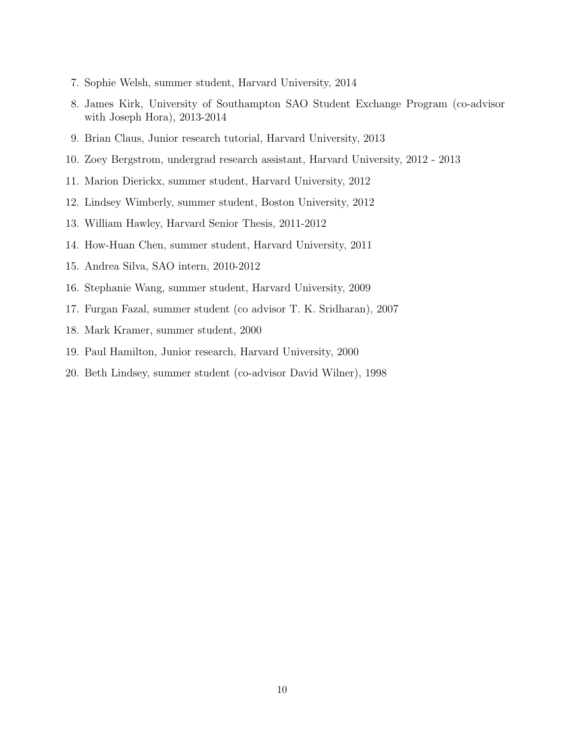- 7. Sophie Welsh, summer student, Harvard University, 2014
- 8. James Kirk, University of Southampton SAO Student Exchange Program (co-advisor with Joseph Hora), 2013-2014
- 9. Brian Claus, Junior research tutorial, Harvard University, 2013
- 10. Zoey Bergstrom, undergrad research assistant, Harvard University, 2012 2013
- 11. Marion Dierickx, summer student, Harvard University, 2012
- 12. Lindsey Wimberly, summer student, Boston University, 2012
- 13. William Hawley, Harvard Senior Thesis, 2011-2012
- 14. How-Huan Chen, summer student, Harvard University, 2011
- 15. Andrea Silva, SAO intern, 2010-2012
- 16. Stephanie Wang, summer student, Harvard University, 2009
- 17. Furgan Fazal, summer student (co advisor T. K. Sridharan), 2007
- 18. Mark Kramer, summer student, 2000
- 19. Paul Hamilton, Junior research, Harvard University, 2000
- 20. Beth Lindsey, summer student (co-advisor David Wilner), 1998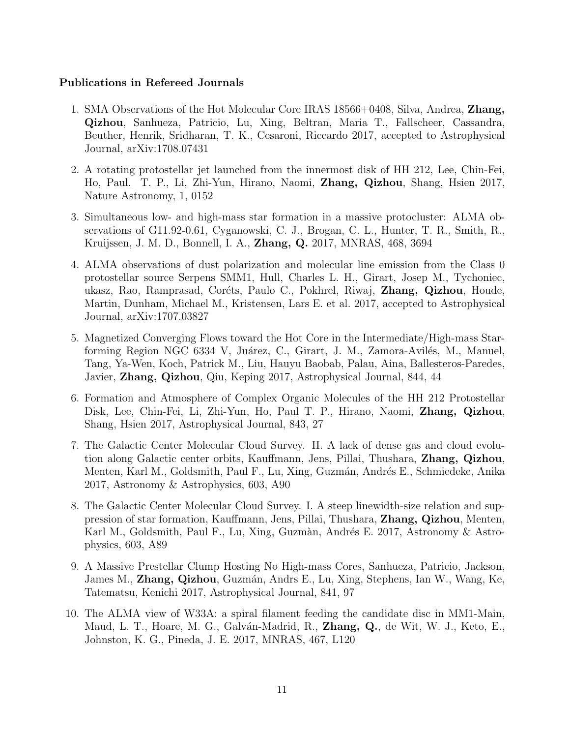# Publications in Refereed Journals

- 1. SMA Observations of the Hot Molecular Core IRAS 18566+0408, Silva, Andrea, Zhang, Qizhou, Sanhueza, Patricio, Lu, Xing, Beltran, Maria T., Fallscheer, Cassandra, Beuther, Henrik, Sridharan, T. K., Cesaroni, Riccardo 2017, accepted to Astrophysical Journal, arXiv:1708.07431
- 2. A rotating protostellar jet launched from the innermost disk of HH 212, Lee, Chin-Fei, Ho, Paul. T. P., Li, Zhi-Yun, Hirano, Naomi, Zhang, Qizhou, Shang, Hsien 2017, Nature Astronomy, 1, 0152
- 3. Simultaneous low- and high-mass star formation in a massive protocluster: ALMA observations of G11.92-0.61, Cyganowski, C. J., Brogan, C. L., Hunter, T. R., Smith, R., Kruijssen, J. M. D., Bonnell, I. A., Zhang, Q. 2017, MNRAS, 468, 3694
- 4. ALMA observations of dust polarization and molecular line emission from the Class 0 protostellar source Serpens SMM1, Hull, Charles L. H., Girart, Josep M., Tychoniec, ukasz, Rao, Ramprasad, Coréts, Paulo C., Pokhrel, Riwaj, **Zhang, Qizhou**, Houde, Martin, Dunham, Michael M., Kristensen, Lars E. et al. 2017, accepted to Astrophysical Journal, arXiv:1707.03827
- 5. Magnetized Converging Flows toward the Hot Core in the Intermediate/High-mass Starforming Region NGC 6334 V, Juárez, C., Girart, J. M., Zamora-Avilés, M., Manuel, Tang, Ya-Wen, Koch, Patrick M., Liu, Hauyu Baobab, Palau, Aina, Ballesteros-Paredes, Javier, Zhang, Qizhou, Qiu, Keping 2017, Astrophysical Journal, 844, 44
- 6. Formation and Atmosphere of Complex Organic Molecules of the HH 212 Protostellar Disk, Lee, Chin-Fei, Li, Zhi-Yun, Ho, Paul T. P., Hirano, Naomi, Zhang, Qizhou, Shang, Hsien 2017, Astrophysical Journal, 843, 27
- 7. The Galactic Center Molecular Cloud Survey. II. A lack of dense gas and cloud evolution along Galactic center orbits, Kauffmann, Jens, Pillai, Thushara, Zhang, Qizhou, Menten, Karl M., Goldsmith, Paul F., Lu, Xing, Guzmán, Andrés E., Schmiedeke, Anika 2017, Astronomy & Astrophysics, 603, A90
- 8. The Galactic Center Molecular Cloud Survey. I. A steep linewidth-size relation and suppression of star formation, Kauffmann, Jens, Pillai, Thushara, Zhang, Qizhou, Menten, Karl M., Goldsmith, Paul F., Lu, Xing, Guzmàn, Andrés E. 2017, Astronomy & Astrophysics, 603, A89
- 9. A Massive Prestellar Clump Hosting No High-mass Cores, Sanhueza, Patricio, Jackson, James M., Zhang, Qizhou, Guzmán, Andrs E., Lu, Xing, Stephens, Ian W., Wang, Ke, Tatematsu, Kenichi 2017, Astrophysical Journal, 841, 97
- 10. The ALMA view of W33A: a spiral filament feeding the candidate disc in MM1-Main, Maud, L. T., Hoare, M. G., Galván-Madrid, R., **Zhang, Q.**, de Wit, W. J., Keto, E., Johnston, K. G., Pineda, J. E. 2017, MNRAS, 467, L120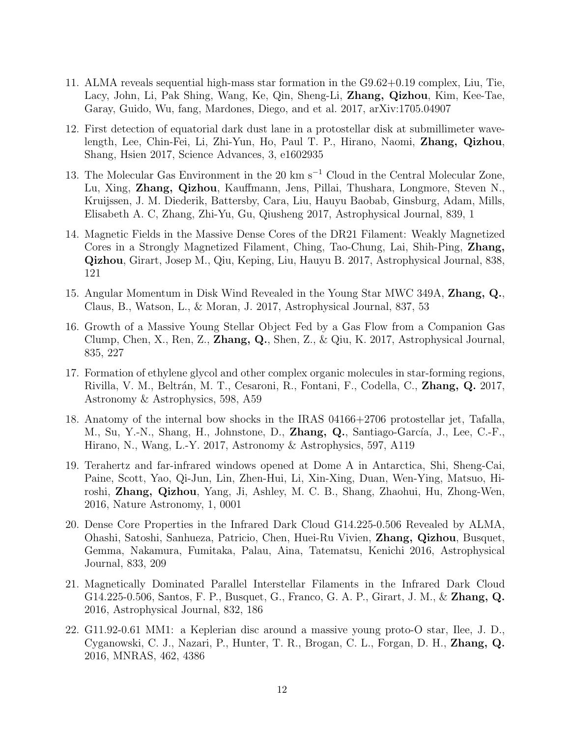- 11. ALMA reveals sequential high-mass star formation in the G9.62+0.19 complex, Liu, Tie, Lacy, John, Li, Pak Shing, Wang, Ke, Qin, Sheng-Li, Zhang, Qizhou, Kim, Kee-Tae, Garay, Guido, Wu, fang, Mardones, Diego, and et al. 2017, arXiv:1705.04907
- 12. First detection of equatorial dark dust lane in a protostellar disk at submillimeter wavelength, Lee, Chin-Fei, Li, Zhi-Yun, Ho, Paul T. P., Hirano, Naomi, Zhang, Qizhou, Shang, Hsien 2017, Science Advances, 3, e1602935
- 13. The Molecular Gas Environment in the 20 km s<sup>−</sup><sup>1</sup> Cloud in the Central Molecular Zone, Lu, Xing, Zhang, Qizhou, Kauffmann, Jens, Pillai, Thushara, Longmore, Steven N., Kruijssen, J. M. Diederik, Battersby, Cara, Liu, Hauyu Baobab, Ginsburg, Adam, Mills, Elisabeth A. C, Zhang, Zhi-Yu, Gu, Qiusheng 2017, Astrophysical Journal, 839, 1
- 14. Magnetic Fields in the Massive Dense Cores of the DR21 Filament: Weakly Magnetized Cores in a Strongly Magnetized Filament, Ching, Tao-Chung, Lai, Shih-Ping, Zhang, Qizhou, Girart, Josep M., Qiu, Keping, Liu, Hauyu B. 2017, Astrophysical Journal, 838, 121
- 15. Angular Momentum in Disk Wind Revealed in the Young Star MWC 349A, Zhang, Q., Claus, B., Watson, L., & Moran, J. 2017, Astrophysical Journal, 837, 53
- 16. Growth of a Massive Young Stellar Object Fed by a Gas Flow from a Companion Gas Clump, Chen, X., Ren, Z.,  $\mathbf{Zhang}, \mathbf{Q}$ ., Shen, Z., & Qiu, K. 2017, Astrophysical Journal, 835, 227
- 17. Formation of ethylene glycol and other complex organic molecules in star-forming regions, Rivilla, V. M., Beltrán, M. T., Cesaroni, R., Fontani, F., Codella, C., **Zhang, Q.** 2017, Astronomy & Astrophysics, 598, A59
- 18. Anatomy of the internal bow shocks in the IRAS 04166+2706 protostellar jet, Tafalla, M., Su, Y.-N., Shang, H., Johnstone, D., Zhang, Q., Santiago-García, J., Lee, C.-F., Hirano, N., Wang, L.-Y. 2017, Astronomy & Astrophysics, 597, A119
- 19. Terahertz and far-infrared windows opened at Dome A in Antarctica, Shi, Sheng-Cai, Paine, Scott, Yao, Qi-Jun, Lin, Zhen-Hui, Li, Xin-Xing, Duan, Wen-Ying, Matsuo, Hiroshi, Zhang, Qizhou, Yang, Ji, Ashley, M. C. B., Shang, Zhaohui, Hu, Zhong-Wen, 2016, Nature Astronomy, 1, 0001
- 20. Dense Core Properties in the Infrared Dark Cloud G14.225-0.506 Revealed by ALMA, Ohashi, Satoshi, Sanhueza, Patricio, Chen, Huei-Ru Vivien, Zhang, Qizhou, Busquet, Gemma, Nakamura, Fumitaka, Palau, Aina, Tatematsu, Kenichi 2016, Astrophysical Journal, 833, 209
- 21. Magnetically Dominated Parallel Interstellar Filaments in the Infrared Dark Cloud G14.225-0.506, Santos, F. P., Busquet, G., Franco, G. A. P., Girart, J. M., & Zhang, Q. 2016, Astrophysical Journal, 832, 186
- 22. G11.92-0.61 MM1: a Keplerian disc around a massive young proto-O star, Ilee, J. D., Cyganowski, C. J., Nazari, P., Hunter, T. R., Brogan, C. L., Forgan, D. H., Zhang, Q. 2016, MNRAS, 462, 4386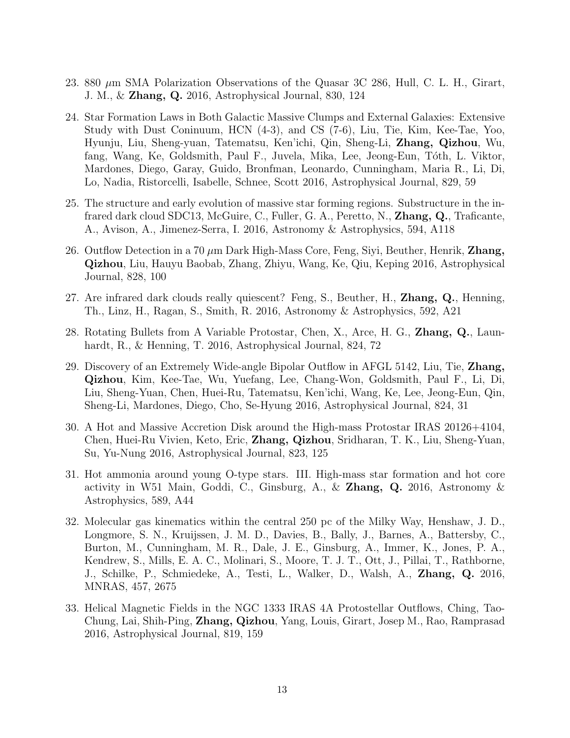- 23. 880  $\mu$ m SMA Polarization Observations of the Quasar 3C 286, Hull, C. L. H., Girart, J. M., & Zhang, Q. 2016, Astrophysical Journal, 830, 124
- 24. Star Formation Laws in Both Galactic Massive Clumps and External Galaxies: Extensive Study with Dust Coninuum, HCN (4-3), and CS (7-6), Liu, Tie, Kim, Kee-Tae, Yoo, Hyunju, Liu, Sheng-yuan, Tatematsu, Ken'ichi, Qin, Sheng-Li, Zhang, Qizhou, Wu, fang, Wang, Ke, Goldsmith, Paul F., Juvela, Mika, Lee, Jeong-Eun, Tóth, L. Viktor, Mardones, Diego, Garay, Guido, Bronfman, Leonardo, Cunningham, Maria R., Li, Di, Lo, Nadia, Ristorcelli, Isabelle, Schnee, Scott 2016, Astrophysical Journal, 829, 59
- 25. The structure and early evolution of massive star forming regions. Substructure in the infrared dark cloud SDC13, McGuire, C., Fuller, G. A., Peretto, N., Zhang, Q., Traficante, A., Avison, A., Jimenez-Serra, I. 2016, Astronomy & Astrophysics, 594, A118
- 26. Outflow Detection in a 70  $\mu$ m Dark High-Mass Core, Feng, Siyi, Beuther, Henrik, **Zhang**, Qizhou, Liu, Hauyu Baobab, Zhang, Zhiyu, Wang, Ke, Qiu, Keping 2016, Astrophysical Journal, 828, 100
- 27. Are infrared dark clouds really quiescent? Feng, S., Beuther, H., Zhang, Q., Henning, Th., Linz, H., Ragan, S., Smith, R. 2016, Astronomy & Astrophysics, 592, A21
- 28. Rotating Bullets from A Variable Protostar, Chen, X., Arce, H. G., Zhang, Q., Launhardt, R., & Henning, T. 2016, Astrophysical Journal, 824, 72
- 29. Discovery of an Extremely Wide-angle Bipolar Outflow in AFGL 5142, Liu, Tie, Zhang, Qizhou, Kim, Kee-Tae, Wu, Yuefang, Lee, Chang-Won, Goldsmith, Paul F., Li, Di, Liu, Sheng-Yuan, Chen, Huei-Ru, Tatematsu, Ken'ichi, Wang, Ke, Lee, Jeong-Eun, Qin, Sheng-Li, Mardones, Diego, Cho, Se-Hyung 2016, Astrophysical Journal, 824, 31
- 30. A Hot and Massive Accretion Disk around the High-mass Protostar IRAS 20126+4104, Chen, Huei-Ru Vivien, Keto, Eric, Zhang, Qizhou, Sridharan, T. K., Liu, Sheng-Yuan, Su, Yu-Nung 2016, Astrophysical Journal, 823, 125
- 31. Hot ammonia around young O-type stars. III. High-mass star formation and hot core activity in W51 Main, Goddi, C., Ginsburg, A., & **Zhang, Q.** 2016, Astronomy & Astrophysics, 589, A44
- 32. Molecular gas kinematics within the central 250 pc of the Milky Way, Henshaw, J. D., Longmore, S. N., Kruijssen, J. M. D., Davies, B., Bally, J., Barnes, A., Battersby, C., Burton, M., Cunningham, M. R., Dale, J. E., Ginsburg, A., Immer, K., Jones, P. A., Kendrew, S., Mills, E. A. C., Molinari, S., Moore, T. J. T., Ott, J., Pillai, T., Rathborne, J., Schilke, P., Schmiedeke, A., Testi, L., Walker, D., Walsh, A., Zhang, Q. 2016, MNRAS, 457, 2675
- 33. Helical Magnetic Fields in the NGC 1333 IRAS 4A Protostellar Outflows, Ching, Tao-Chung, Lai, Shih-Ping, Zhang, Qizhou, Yang, Louis, Girart, Josep M., Rao, Ramprasad 2016, Astrophysical Journal, 819, 159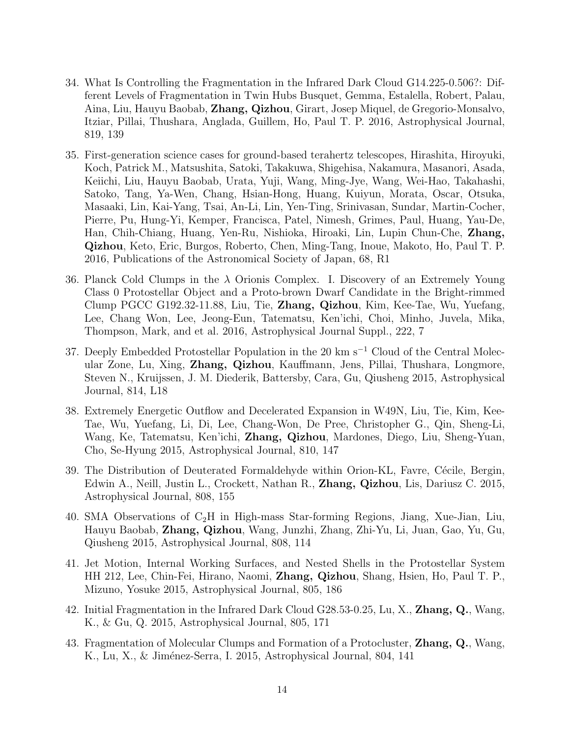- 34. What Is Controlling the Fragmentation in the Infrared Dark Cloud G14.225-0.506?: Different Levels of Fragmentation in Twin Hubs Busquet, Gemma, Estalella, Robert, Palau, Aina, Liu, Hauyu Baobab, Zhang, Qizhou, Girart, Josep Miquel, de Gregorio-Monsalvo, Itziar, Pillai, Thushara, Anglada, Guillem, Ho, Paul T. P. 2016, Astrophysical Journal, 819, 139
- 35. First-generation science cases for ground-based terahertz telescopes, Hirashita, Hiroyuki, Koch, Patrick M., Matsushita, Satoki, Takakuwa, Shigehisa, Nakamura, Masanori, Asada, Keiichi, Liu, Hauyu Baobab, Urata, Yuji, Wang, Ming-Jye, Wang, Wei-Hao, Takahashi, Satoko, Tang, Ya-Wen, Chang, Hsian-Hong, Huang, Kuiyun, Morata, Oscar, Otsuka, Masaaki, Lin, Kai-Yang, Tsai, An-Li, Lin, Yen-Ting, Srinivasan, Sundar, Martin-Cocher, Pierre, Pu, Hung-Yi, Kemper, Francisca, Patel, Nimesh, Grimes, Paul, Huang, Yau-De, Han, Chih-Chiang, Huang, Yen-Ru, Nishioka, Hiroaki, Lin, Lupin Chun-Che, Zhang, Qizhou, Keto, Eric, Burgos, Roberto, Chen, Ming-Tang, Inoue, Makoto, Ho, Paul T. P. 2016, Publications of the Astronomical Society of Japan, 68, R1
- 36. Planck Cold Clumps in the  $\lambda$  Orionis Complex. I. Discovery of an Extremely Young Class 0 Protostellar Object and a Proto-brown Dwarf Candidate in the Bright-rimmed Clump PGCC G192.32-11.88, Liu, Tie, Zhang, Qizhou, Kim, Kee-Tae, Wu, Yuefang, Lee, Chang Won, Lee, Jeong-Eun, Tatematsu, Ken'ichi, Choi, Minho, Juvela, Mika, Thompson, Mark, and et al. 2016, Astrophysical Journal Suppl., 222, 7
- 37. Deeply Embedded Protostellar Population in the 20 km s<sup>−1</sup> Cloud of the Central Molecular Zone, Lu, Xing, Zhang, Qizhou, Kauffmann, Jens, Pillai, Thushara, Longmore, Steven N., Kruijssen, J. M. Diederik, Battersby, Cara, Gu, Qiusheng 2015, Astrophysical Journal, 814, L18
- 38. Extremely Energetic Outflow and Decelerated Expansion in W49N, Liu, Tie, Kim, Kee-Tae, Wu, Yuefang, Li, Di, Lee, Chang-Won, De Pree, Christopher G., Qin, Sheng-Li, Wang, Ke, Tatematsu, Ken'ichi, Zhang, Qizhou, Mardones, Diego, Liu, Sheng-Yuan, Cho, Se-Hyung 2015, Astrophysical Journal, 810, 147
- 39. The Distribution of Deuterated Formaldehyde within Orion-KL, Favre, Cécile, Bergin, Edwin A., Neill, Justin L., Crockett, Nathan R., Zhang, Qizhou, Lis, Dariusz C. 2015, Astrophysical Journal, 808, 155
- 40. SMA Observations of  $C_2H$  in High-mass Star-forming Regions, Jiang, Xue-Jian, Liu, Hauyu Baobab, Zhang, Qizhou, Wang, Junzhi, Zhang, Zhi-Yu, Li, Juan, Gao, Yu, Gu, Qiusheng 2015, Astrophysical Journal, 808, 114
- 41. Jet Motion, Internal Working Surfaces, and Nested Shells in the Protostellar System HH 212, Lee, Chin-Fei, Hirano, Naomi, Zhang, Qizhou, Shang, Hsien, Ho, Paul T. P., Mizuno, Yosuke 2015, Astrophysical Journal, 805, 186
- 42. Initial Fragmentation in the Infrared Dark Cloud G28.53-0.25, Lu, X., Zhang, Q., Wang, K., & Gu, Q. 2015, Astrophysical Journal, 805, 171
- 43. Fragmentation of Molecular Clumps and Formation of a Protocluster, Zhang, Q., Wang, K., Lu, X., & Jiménez-Serra, I. 2015, Astrophysical Journal, 804, 141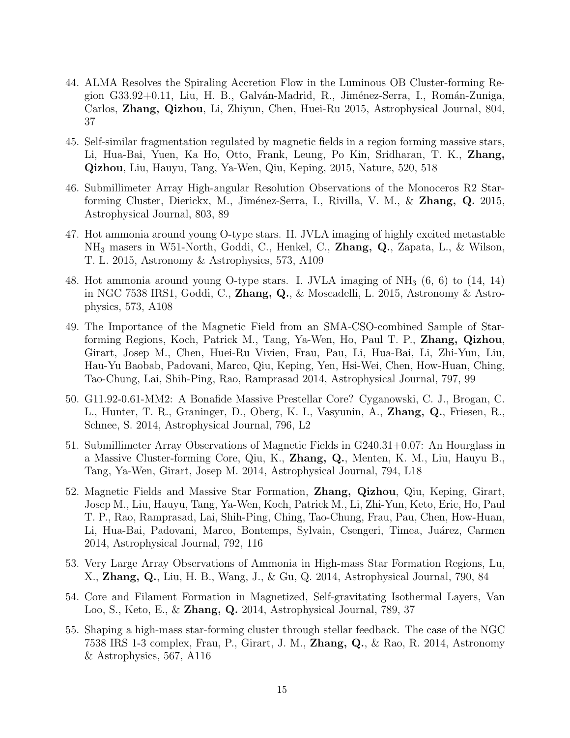- 44. ALMA Resolves the Spiraling Accretion Flow in the Luminous OB Cluster-forming Region G33.92+0.11, Liu, H. B., Galv´an-Madrid, R., Jim´enez-Serra, I., Rom´an-Zuniga, Carlos, Zhang, Qizhou, Li, Zhiyun, Chen, Huei-Ru 2015, Astrophysical Journal, 804, 37
- 45. Self-similar fragmentation regulated by magnetic fields in a region forming massive stars, Li, Hua-Bai, Yuen, Ka Ho, Otto, Frank, Leung, Po Kin, Sridharan, T. K., Zhang, Qizhou, Liu, Hauyu, Tang, Ya-Wen, Qiu, Keping, 2015, Nature, 520, 518
- 46. Submillimeter Array High-angular Resolution Observations of the Monoceros R2 Starforming Cluster, Dierickx, M., Jiménez-Serra, I., Rivilla, V. M., & Zhang, Q. 2015, Astrophysical Journal, 803, 89
- 47. Hot ammonia around young O-type stars. II. JVLA imaging of highly excited metastable NH<sup>3</sup> masers in W51-North, Goddi, C., Henkel, C., Zhang, Q., Zapata, L., & Wilson, T. L. 2015, Astronomy & Astrophysics, 573, A109
- 48. Hot ammonia around young O-type stars. I. JVLA imaging of NH<sup>3</sup> (6, 6) to (14, 14) in NGC 7538 IRS1, Goddi, C., Zhang, Q., & Moscadelli, L. 2015, Astronomy & Astrophysics, 573, A108
- 49. The Importance of the Magnetic Field from an SMA-CSO-combined Sample of Starforming Regions, Koch, Patrick M., Tang, Ya-Wen, Ho, Paul T. P., Zhang, Qizhou, Girart, Josep M., Chen, Huei-Ru Vivien, Frau, Pau, Li, Hua-Bai, Li, Zhi-Yun, Liu, Hau-Yu Baobab, Padovani, Marco, Qiu, Keping, Yen, Hsi-Wei, Chen, How-Huan, Ching, Tao-Chung, Lai, Shih-Ping, Rao, Ramprasad 2014, Astrophysical Journal, 797, 99
- 50. G11.92-0.61-MM2: A Bonafide Massive Prestellar Core? Cyganowski, C. J., Brogan, C. L., Hunter, T. R., Graninger, D., Oberg, K. I., Vasyunin, A., Zhang, Q., Friesen, R., Schnee, S. 2014, Astrophysical Journal, 796, L2
- 51. Submillimeter Array Observations of Magnetic Fields in G240.31+0.07: An Hourglass in a Massive Cluster-forming Core, Qiu, K., Zhang, Q., Menten, K. M., Liu, Hauyu B., Tang, Ya-Wen, Girart, Josep M. 2014, Astrophysical Journal, 794, L18
- 52. Magnetic Fields and Massive Star Formation, Zhang, Qizhou, Qiu, Keping, Girart, Josep M., Liu, Hauyu, Tang, Ya-Wen, Koch, Patrick M., Li, Zhi-Yun, Keto, Eric, Ho, Paul T. P., Rao, Ramprasad, Lai, Shih-Ping, Ching, Tao-Chung, Frau, Pau, Chen, How-Huan, Li, Hua-Bai, Padovani, Marco, Bontemps, Sylvain, Csengeri, Timea, Juárez, Carmen 2014, Astrophysical Journal, 792, 116
- 53. Very Large Array Observations of Ammonia in High-mass Star Formation Regions, Lu, X., Zhang, Q., Liu, H. B., Wang, J., & Gu, Q. 2014, Astrophysical Journal, 790, 84
- 54. Core and Filament Formation in Magnetized, Self-gravitating Isothermal Layers, Van Loo, S., Keto, E., & Zhang, Q. 2014, Astrophysical Journal, 789, 37
- 55. Shaping a high-mass star-forming cluster through stellar feedback. The case of the NGC 7538 IRS 1-3 complex, Frau, P., Girart, J. M., Zhang, Q., & Rao, R. 2014, Astronomy & Astrophysics, 567, A116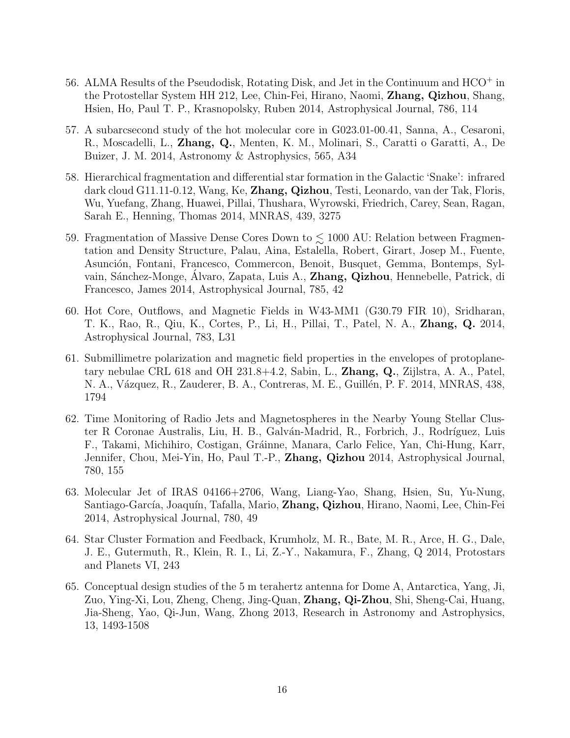- 56. ALMA Results of the Pseudodisk, Rotating Disk, and Jet in the Continuum and HCO<sup>+</sup> in the Protostellar System HH 212, Lee, Chin-Fei, Hirano, Naomi, Zhang, Qizhou, Shang, Hsien, Ho, Paul T. P., Krasnopolsky, Ruben 2014, Astrophysical Journal, 786, 114
- 57. A subarcsecond study of the hot molecular core in G023.01-00.41, Sanna, A., Cesaroni, R., Moscadelli, L., Zhang, Q., Menten, K. M., Molinari, S., Caratti o Garatti, A., De Buizer, J. M. 2014, Astronomy & Astrophysics, 565, A34
- 58. Hierarchical fragmentation and differential star formation in the Galactic 'Snake': infrared dark cloud G11.11-0.12, Wang, Ke, Zhang, Qizhou, Testi, Leonardo, van der Tak, Floris, Wu, Yuefang, Zhang, Huawei, Pillai, Thushara, Wyrowski, Friedrich, Carey, Sean, Ragan, Sarah E., Henning, Thomas 2014, MNRAS, 439, 3275
- 59. Fragmentation of Massive Dense Cores Down to  $\lesssim 1000$  AU: Relation between Fragmentation and Density Structure, Palau, Aina, Estalella, Robert, Girart, Josep M., Fuente, Asunción, Fontani, Francesco, Commercon, Benoit, Busquet, Gemma, Bontemps, Sylvain, Sánchez-Monge, Alvaro, Zapata, Luis A., **Zhang, Qizhou**, Hennebelle, Patrick, di Francesco, James 2014, Astrophysical Journal, 785, 42
- 60. Hot Core, Outflows, and Magnetic Fields in W43-MM1 (G30.79 FIR 10), Sridharan, T. K., Rao, R., Qiu, K., Cortes, P., Li, H., Pillai, T., Patel, N. A., Zhang, Q. 2014, Astrophysical Journal, 783, L31
- 61. Submillimetre polarization and magnetic field properties in the envelopes of protoplanetary nebulae CRL 618 and OH 231.8+4.2, Sabin, L., Zhang, Q., Zijlstra, A. A., Patel, N. A., Vázquez, R., Zauderer, B. A., Contreras, M. E., Guillén, P. F. 2014, MNRAS, 438, 1794
- 62. Time Monitoring of Radio Jets and Magnetospheres in the Nearby Young Stellar Cluster R Coronae Australis, Liu, H. B., Galván-Madrid, R., Forbrich, J., Rodríguez, Luis F., Takami, Michihiro, Costigan, Gr´ainne, Manara, Carlo Felice, Yan, Chi-Hung, Karr, Jennifer, Chou, Mei-Yin, Ho, Paul T.-P., Zhang, Qizhou 2014, Astrophysical Journal, 780, 155
- 63. Molecular Jet of IRAS 04166+2706, Wang, Liang-Yao, Shang, Hsien, Su, Yu-Nung, Santiago-García, Joaquín, Tafalla, Mario, Zhang, Qizhou, Hirano, Naomi, Lee, Chin-Fei 2014, Astrophysical Journal, 780, 49
- 64. Star Cluster Formation and Feedback, Krumholz, M. R., Bate, M. R., Arce, H. G., Dale, J. E., Gutermuth, R., Klein, R. I., Li, Z.-Y., Nakamura, F., Zhang, Q 2014, Protostars and Planets VI, 243
- 65. Conceptual design studies of the 5 m terahertz antenna for Dome A, Antarctica, Yang, Ji, Zuo, Ying-Xi, Lou, Zheng, Cheng, Jing-Quan, Zhang, Qi-Zhou, Shi, Sheng-Cai, Huang, Jia-Sheng, Yao, Qi-Jun, Wang, Zhong 2013, Research in Astronomy and Astrophysics, 13, 1493-1508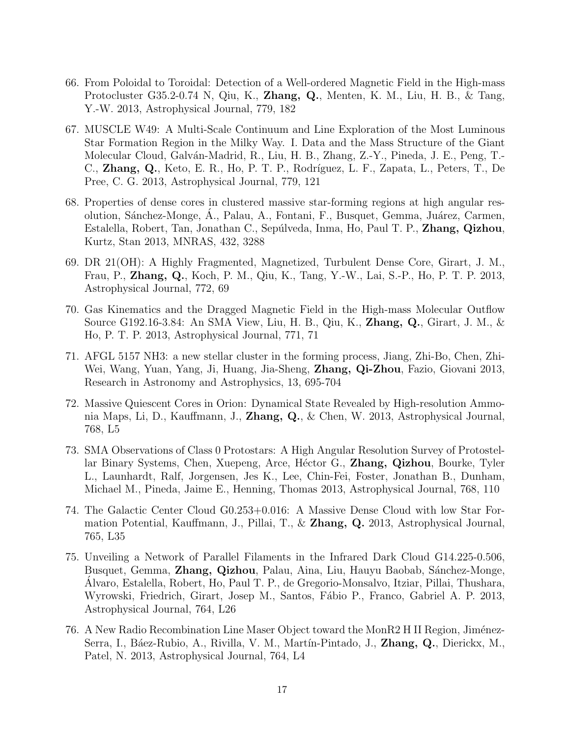- 66. From Poloidal to Toroidal: Detection of a Well-ordered Magnetic Field in the High-mass Protocluster G35.2-0.74 N, Qiu, K., Zhang, Q., Menten, K. M., Liu, H. B., & Tang, Y.-W. 2013, Astrophysical Journal, 779, 182
- 67. MUSCLE W49: A Multi-Scale Continuum and Line Exploration of the Most Luminous Star Formation Region in the Milky Way. I. Data and the Mass Structure of the Giant Molecular Cloud, Galván-Madrid, R., Liu, H. B., Zhang, Z.-Y., Pineda, J. E., Peng, T.-C., Zhang, Q., Keto, E. R., Ho, P. T. P., Rodríguez, L. F., Zapata, L., Peters, T., De Pree, C. G. 2013, Astrophysical Journal, 779, 121
- 68. Properties of dense cores in clustered massive star-forming regions at high angular resolution, Sánchez-Monge, Á., Palau, A., Fontani, F., Busquet, Gemma, Juárez, Carmen, Estalella, Robert, Tan, Jonathan C., Sep´ulveda, Inma, Ho, Paul T. P., Zhang, Qizhou, Kurtz, Stan 2013, MNRAS, 432, 3288
- 69. DR 21(OH): A Highly Fragmented, Magnetized, Turbulent Dense Core, Girart, J. M., Frau, P., Zhang, Q., Koch, P. M., Qiu, K., Tang, Y.-W., Lai, S.-P., Ho, P. T. P. 2013, Astrophysical Journal, 772, 69
- 70. Gas Kinematics and the Dragged Magnetic Field in the High-mass Molecular Outflow Source G192.16-3.84: An SMA View, Liu, H. B., Qiu, K., Zhang, Q., Girart, J. M., & Ho, P. T. P. 2013, Astrophysical Journal, 771, 71
- 71. AFGL 5157 NH3: a new stellar cluster in the forming process, Jiang, Zhi-Bo, Chen, Zhi-Wei, Wang, Yuan, Yang, Ji, Huang, Jia-Sheng, Zhang, Qi-Zhou, Fazio, Giovani 2013, Research in Astronomy and Astrophysics, 13, 695-704
- 72. Massive Quiescent Cores in Orion: Dynamical State Revealed by High-resolution Ammonia Maps, Li, D., Kauffmann, J., Zhang, Q., & Chen, W. 2013, Astrophysical Journal, 768, L5
- 73. SMA Observations of Class 0 Protostars: A High Angular Resolution Survey of Protostellar Binary Systems, Chen, Xuepeng, Arce, Héctor G., **Zhang, Qizhou**, Bourke, Tyler L., Launhardt, Ralf, Jorgensen, Jes K., Lee, Chin-Fei, Foster, Jonathan B., Dunham, Michael M., Pineda, Jaime E., Henning, Thomas 2013, Astrophysical Journal, 768, 110
- 74. The Galactic Center Cloud G0.253+0.016: A Massive Dense Cloud with low Star Formation Potential, Kauffmann, J., Pillai, T., & Zhang, Q. 2013, Astrophysical Journal, 765, L35
- 75. Unveiling a Network of Parallel Filaments in the Infrared Dark Cloud G14.225-0.506, Busquet, Gemma, Zhang, Qizhou, Palau, Aina, Liu, Hauyu Baobab, Sánchez-Monge, Alvaro, Estalella, Robert, Ho, Paul T. P., de Gregorio-Monsalvo, Itziar, Pillai, Thushara, Wyrowski, Friedrich, Girart, Josep M., Santos, Fábio P., Franco, Gabriel A. P. 2013, Astrophysical Journal, 764, L26
- 76. A New Radio Recombination Line Maser Object toward the MonR2 H II Region, Jiménez-Serra, I., Báez-Rubio, A., Rivilla, V. M., Martín-Pintado, J., Zhang, Q., Dierickx, M., Patel, N. 2013, Astrophysical Journal, 764, L4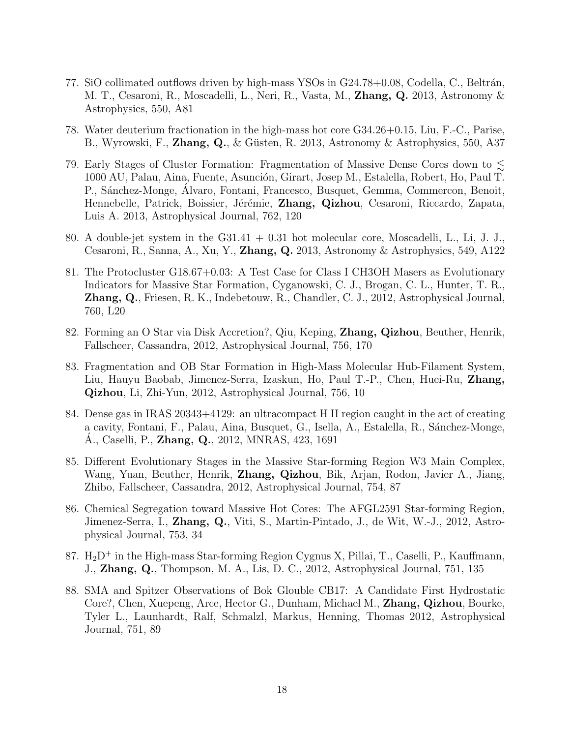- 77. SiO collimated outflows driven by high-mass YSOs in  $G24.78+0.08$ , Codella, C., Beltrán, M. T., Cesaroni, R., Moscadelli, L., Neri, R., Vasta, M., **Zhang, Q.** 2013, Astronomy & Astrophysics, 550, A81
- 78. Water deuterium fractionation in the high-mass hot core G34.26+0.15, Liu, F.-C., Parise, B., Wyrowski, F., Zhang, Q., & Güsten, R. 2013, Astronomy & Astrophysics, 550, A37
- 79. Early Stages of Cluster Formation: Fragmentation of Massive Dense Cores down to  $\lesssim$ 1000 AU, Palau, Aina, Fuente, Asunción, Girart, Josep M., Estalella, Robert, Ho, Paul T. P., Sánchez-Monge, Alvaro, Fontani, Francesco, Busquet, Gemma, Commercon, Benoit, Hennebelle, Patrick, Boissier, Jérémie, Zhang, Qizhou, Cesaroni, Riccardo, Zapata, Luis A. 2013, Astrophysical Journal, 762, 120
- 80. A double-jet system in the G31.41 + 0.31 hot molecular core, Moscadelli, L., Li, J. J., Cesaroni, R., Sanna, A., Xu, Y., **Zhang, Q.** 2013, Astronomy & Astrophysics, 549, A122
- 81. The Protocluster G18.67+0.03: A Test Case for Class I CH3OH Masers as Evolutionary Indicators for Massive Star Formation, Cyganowski, C. J., Brogan, C. L., Hunter, T. R., Zhang, Q., Friesen, R. K., Indebetouw, R., Chandler, C. J., 2012, Astrophysical Journal, 760, L20
- 82. Forming an O Star via Disk Accretion?, Qiu, Keping, Zhang, Qizhou, Beuther, Henrik, Fallscheer, Cassandra, 2012, Astrophysical Journal, 756, 170
- 83. Fragmentation and OB Star Formation in High-Mass Molecular Hub-Filament System, Liu, Hauyu Baobab, Jimenez-Serra, Izaskun, Ho, Paul T.-P., Chen, Huei-Ru, Zhang, Qizhou, Li, Zhi-Yun, 2012, Astrophysical Journal, 756, 10
- 84. Dense gas in IRAS 20343+4129: an ultracompact H II region caught in the act of creating a cavity, Fontani, F., Palau, Aina, Busquet, G., Isella, A., Estalella, R., Sánchez-Monge, A., Caselli, P., **Zhang, Q.**, 2012, MNRAS, 423, 1691
- 85. Different Evolutionary Stages in the Massive Star-forming Region W3 Main Complex, Wang, Yuan, Beuther, Henrik, Zhang, Qizhou, Bik, Arjan, Rodon, Javier A., Jiang, Zhibo, Fallscheer, Cassandra, 2012, Astrophysical Journal, 754, 87
- 86. Chemical Segregation toward Massive Hot Cores: The AFGL2591 Star-forming Region, Jimenez-Serra, I., Zhang, Q., Viti, S., Martin-Pintado, J., de Wit, W.-J., 2012, Astrophysical Journal, 753, 34
- 87.  $H_2D^+$  in the High-mass Star-forming Region Cygnus X, Pillai, T., Caselli, P., Kauffmann, J., Zhang, Q., Thompson, M. A., Lis, D. C., 2012, Astrophysical Journal, 751, 135
- 88. SMA and Spitzer Observations of Bok Glouble CB17: A Candidate First Hydrostatic Core?, Chen, Xuepeng, Arce, Hector G., Dunham, Michael M., Zhang, Qizhou, Bourke, Tyler L., Launhardt, Ralf, Schmalzl, Markus, Henning, Thomas 2012, Astrophysical Journal, 751, 89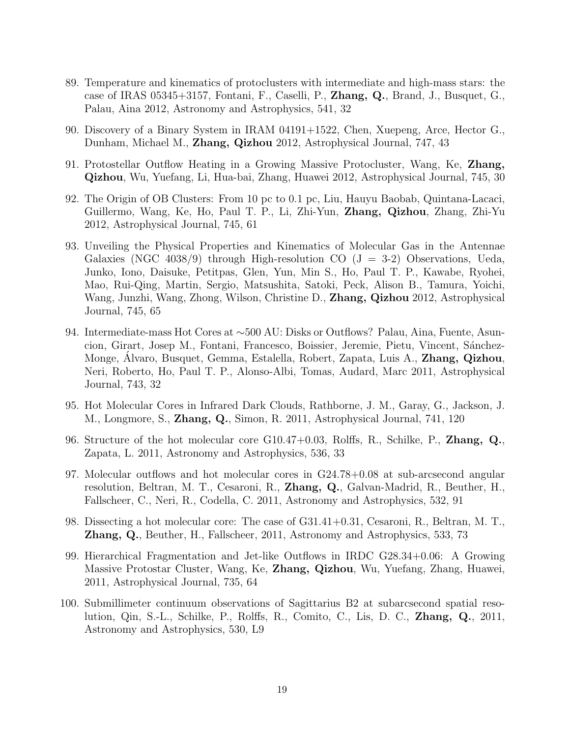- 89. Temperature and kinematics of protoclusters with intermediate and high-mass stars: the case of IRAS 05345+3157, Fontani, F., Caselli, P., Zhang, Q., Brand, J., Busquet, G., Palau, Aina 2012, Astronomy and Astrophysics, 541, 32
- 90. Discovery of a Binary System in IRAM 04191+1522, Chen, Xuepeng, Arce, Hector G., Dunham, Michael M., Zhang, Qizhou 2012, Astrophysical Journal, 747, 43
- 91. Protostellar Outflow Heating in a Growing Massive Protocluster, Wang, Ke, Zhang, Qizhou, Wu, Yuefang, Li, Hua-bai, Zhang, Huawei 2012, Astrophysical Journal, 745, 30
- 92. The Origin of OB Clusters: From 10 pc to 0.1 pc, Liu, Hauyu Baobab, Quintana-Lacaci, Guillermo, Wang, Ke, Ho, Paul T. P., Li, Zhi-Yun, Zhang, Qizhou, Zhang, Zhi-Yu 2012, Astrophysical Journal, 745, 61
- 93. Unveiling the Physical Properties and Kinematics of Molecular Gas in the Antennae Galaxies (NGC 4038/9) through High-resolution CO  $(J = 3-2)$  Observations, Ueda, Junko, Iono, Daisuke, Petitpas, Glen, Yun, Min S., Ho, Paul T. P., Kawabe, Ryohei, Mao, Rui-Qing, Martin, Sergio, Matsushita, Satoki, Peck, Alison B., Tamura, Yoichi, Wang, Junzhi, Wang, Zhong, Wilson, Christine D., Zhang, Qizhou 2012, Astrophysical Journal, 745, 65
- 94. Intermediate-mass Hot Cores at ∼500 AU: Disks or Outflows? Palau, Aina, Fuente, Asuncion, Girart, Josep M., Fontani, Francesco, Boissier, Jeremie, Pietu, Vincent, Sánchez-Monge, Álvaro, Busquet, Gemma, Estalella, Robert, Zapata, Luis A., **Zhang, Qizhou**, Neri, Roberto, Ho, Paul T. P., Alonso-Albi, Tomas, Audard, Marc 2011, Astrophysical Journal, 743, 32
- 95. Hot Molecular Cores in Infrared Dark Clouds, Rathborne, J. M., Garay, G., Jackson, J. M., Longmore, S., Zhang, Q., Simon, R. 2011, Astrophysical Journal, 741, 120
- 96. Structure of the hot molecular core G10.47+0.03, Rolffs, R., Schilke, P., Zhang, Q., Zapata, L. 2011, Astronomy and Astrophysics, 536, 33
- 97. Molecular outflows and hot molecular cores in G24.78+0.08 at sub-arcsecond angular resolution, Beltran, M. T., Cesaroni, R., Zhang, Q., Galvan-Madrid, R., Beuther, H., Fallscheer, C., Neri, R., Codella, C. 2011, Astronomy and Astrophysics, 532, 91
- 98. Dissecting a hot molecular core: The case of G31.41+0.31, Cesaroni, R., Beltran, M. T., Zhang, Q., Beuther, H., Fallscheer, 2011, Astronomy and Astrophysics, 533, 73
- 99. Hierarchical Fragmentation and Jet-like Outflows in IRDC G28.34+0.06: A Growing Massive Protostar Cluster, Wang, Ke, Zhang, Qizhou, Wu, Yuefang, Zhang, Huawei, 2011, Astrophysical Journal, 735, 64
- 100. Submillimeter continuum observations of Sagittarius B2 at subarcsecond spatial resolution, Qin, S.-L., Schilke, P., Rolffs, R., Comito, C., Lis, D. C., Zhang, Q., 2011, Astronomy and Astrophysics, 530, L9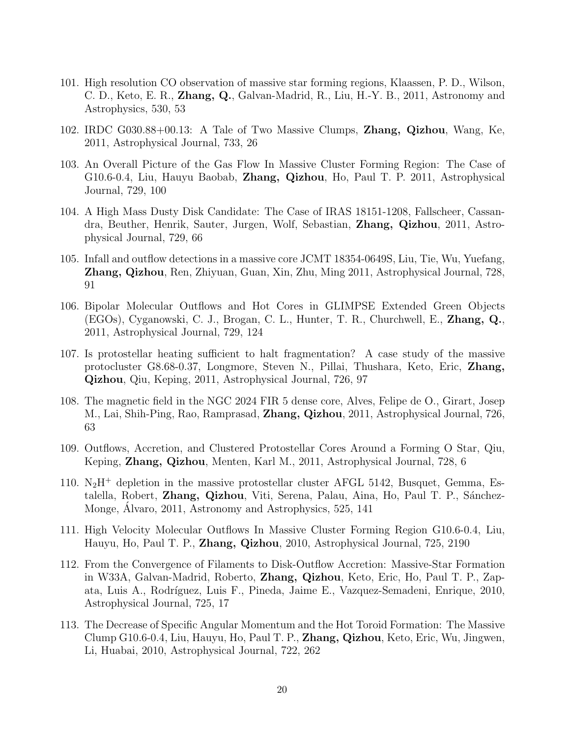- 101. High resolution CO observation of massive star forming regions, Klaassen, P. D., Wilson, C. D., Keto, E. R., Zhang, Q., Galvan-Madrid, R., Liu, H.-Y. B., 2011, Astronomy and Astrophysics, 530, 53
- 102. IRDC G030.88+00.13: A Tale of Two Massive Clumps, Zhang, Qizhou, Wang, Ke, 2011, Astrophysical Journal, 733, 26
- 103. An Overall Picture of the Gas Flow In Massive Cluster Forming Region: The Case of G10.6-0.4, Liu, Hauyu Baobab, Zhang, Qizhou, Ho, Paul T. P. 2011, Astrophysical Journal, 729, 100
- 104. A High Mass Dusty Disk Candidate: The Case of IRAS 18151-1208, Fallscheer, Cassandra, Beuther, Henrik, Sauter, Jurgen, Wolf, Sebastian, Zhang, Qizhou, 2011, Astrophysical Journal, 729, 66
- 105. Infall and outflow detections in a massive core JCMT 18354-0649S, Liu, Tie, Wu, Yuefang, Zhang, Qizhou, Ren, Zhiyuan, Guan, Xin, Zhu, Ming 2011, Astrophysical Journal, 728, 91
- 106. Bipolar Molecular Outflows and Hot Cores in GLIMPSE Extended Green Objects (EGOs), Cyganowski, C. J., Brogan, C. L., Hunter, T. R., Churchwell, E., Zhang, Q., 2011, Astrophysical Journal, 729, 124
- 107. Is protostellar heating sufficient to halt fragmentation? A case study of the massive protocluster G8.68-0.37, Longmore, Steven N., Pillai, Thushara, Keto, Eric, Zhang, Qizhou, Qiu, Keping, 2011, Astrophysical Journal, 726, 97
- 108. The magnetic field in the NGC 2024 FIR 5 dense core, Alves, Felipe de O., Girart, Josep M., Lai, Shih-Ping, Rao, Ramprasad, Zhang, Qizhou, 2011, Astrophysical Journal, 726, 63
- 109. Outflows, Accretion, and Clustered Protostellar Cores Around a Forming O Star, Qiu, Keping, Zhang, Qizhou, Menten, Karl M., 2011, Astrophysical Journal, 728, 6
- 110.  $N_2H^+$  depletion in the massive protostellar cluster AFGL 5142, Busquet, Gemma, Estalella, Robert, Zhang, Qizhou, Viti, Serena, Palau, Aina, Ho, Paul T. P., Sánchez-Monge, Alvaro, 2011, Astronomy and Astrophysics, 525, 141
- 111. High Velocity Molecular Outflows In Massive Cluster Forming Region G10.6-0.4, Liu, Hauyu, Ho, Paul T. P., Zhang, Qizhou, 2010, Astrophysical Journal, 725, 2190
- 112. From the Convergence of Filaments to Disk-Outflow Accretion: Massive-Star Formation in W33A, Galvan-Madrid, Roberto, Zhang, Qizhou, Keto, Eric, Ho, Paul T. P., Zapata, Luis A., Rodríguez, Luis F., Pineda, Jaime E., Vazquez-Semadeni, Enrique, 2010, Astrophysical Journal, 725, 17
- 113. The Decrease of Specific Angular Momentum and the Hot Toroid Formation: The Massive Clump G10.6-0.4, Liu, Hauyu, Ho, Paul T. P., Zhang, Qizhou, Keto, Eric, Wu, Jingwen, Li, Huabai, 2010, Astrophysical Journal, 722, 262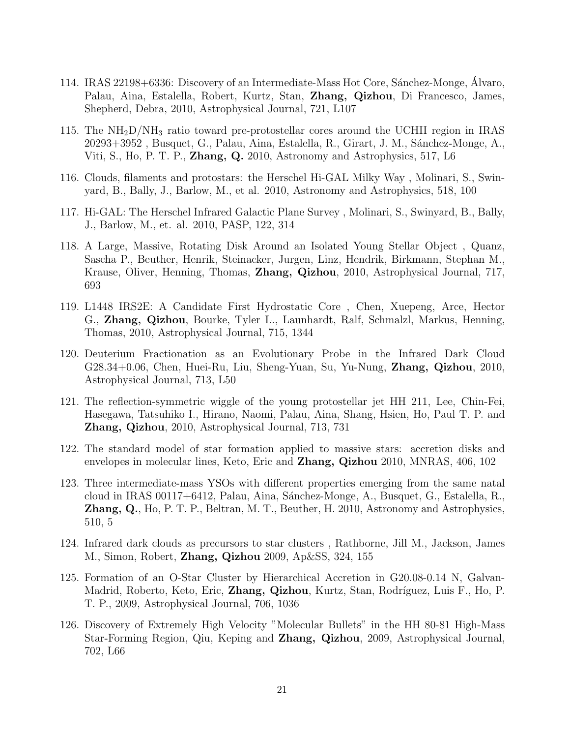- 114. IRAS 22198+6336: Discovery of an Intermediate-Mass Hot Core, Sánchez-Monge, Álvaro, Palau, Aina, Estalella, Robert, Kurtz, Stan, Zhang, Qizhou, Di Francesco, James, Shepherd, Debra, 2010, Astrophysical Journal, 721, L107
- 115. The  $NH<sub>2</sub>D/NH<sub>3</sub>$  ratio toward pre-protostellar cores around the UCHII region in IRAS 20293+3952, Busquet, G., Palau, Aina, Estalella, R., Girart, J. M., Sánchez-Monge, A., Viti, S., Ho, P. T. P., Zhang, Q. 2010, Astronomy and Astrophysics, 517, L6
- 116. Clouds, filaments and protostars: the Herschel Hi-GAL Milky Way , Molinari, S., Swinyard, B., Bally, J., Barlow, M., et al. 2010, Astronomy and Astrophysics, 518, 100
- 117. Hi-GAL: The Herschel Infrared Galactic Plane Survey , Molinari, S., Swinyard, B., Bally, J., Barlow, M., et. al. 2010, PASP, 122, 314
- 118. A Large, Massive, Rotating Disk Around an Isolated Young Stellar Object , Quanz, Sascha P., Beuther, Henrik, Steinacker, Jurgen, Linz, Hendrik, Birkmann, Stephan M., Krause, Oliver, Henning, Thomas, Zhang, Qizhou, 2010, Astrophysical Journal, 717, 693
- 119. L1448 IRS2E: A Candidate First Hydrostatic Core , Chen, Xuepeng, Arce, Hector G., Zhang, Qizhou, Bourke, Tyler L., Launhardt, Ralf, Schmalzl, Markus, Henning, Thomas, 2010, Astrophysical Journal, 715, 1344
- 120. Deuterium Fractionation as an Evolutionary Probe in the Infrared Dark Cloud G28.34+0.06, Chen, Huei-Ru, Liu, Sheng-Yuan, Su, Yu-Nung, Zhang, Qizhou, 2010, Astrophysical Journal, 713, L50
- 121. The reflection-symmetric wiggle of the young protostellar jet HH 211, Lee, Chin-Fei, Hasegawa, Tatsuhiko I., Hirano, Naomi, Palau, Aina, Shang, Hsien, Ho, Paul T. P. and Zhang, Qizhou, 2010, Astrophysical Journal, 713, 731
- 122. The standard model of star formation applied to massive stars: accretion disks and envelopes in molecular lines, Keto, Eric and Zhang, Qizhou 2010, MNRAS, 406, 102
- 123. Three intermediate-mass YSOs with different properties emerging from the same natal cloud in IRAS 00117+6412, Palau, Aina, S´anchez-Monge, A., Busquet, G., Estalella, R., Zhang, Q., Ho, P. T. P., Beltran, M. T., Beuther, H. 2010, Astronomy and Astrophysics, 510, 5
- 124. Infrared dark clouds as precursors to star clusters , Rathborne, Jill M., Jackson, James M., Simon, Robert, Zhang, Qizhou 2009, Ap&SS, 324, 155
- 125. Formation of an O-Star Cluster by Hierarchical Accretion in G20.08-0.14 N, Galvan-Madrid, Roberto, Keto, Eric, **Zhang, Qizhou**, Kurtz, Stan, Rodríguez, Luis F., Ho, P. T. P., 2009, Astrophysical Journal, 706, 1036
- 126. Discovery of Extremely High Velocity "Molecular Bullets" in the HH 80-81 High-Mass Star-Forming Region, Qiu, Keping and Zhang, Qizhou, 2009, Astrophysical Journal, 702, L66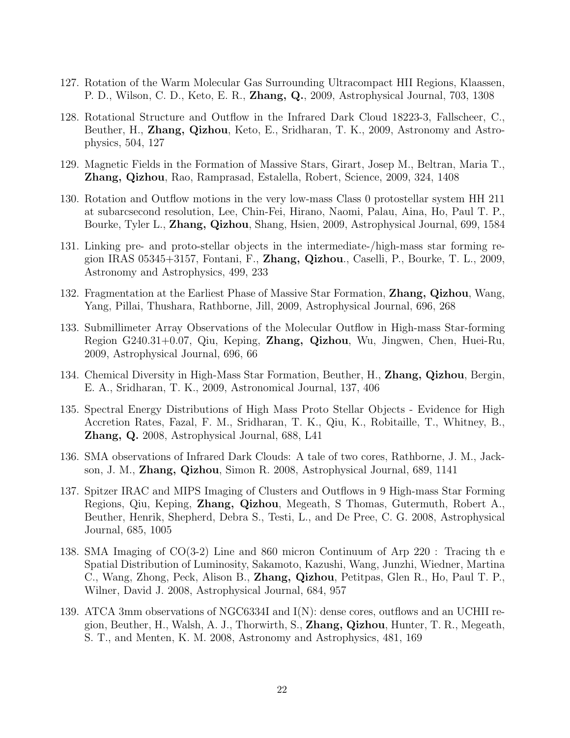- 127. Rotation of the Warm Molecular Gas Surrounding Ultracompact HII Regions, Klaassen, P. D., Wilson, C. D., Keto, E. R., Zhang, Q., 2009, Astrophysical Journal, 703, 1308
- 128. Rotational Structure and Outflow in the Infrared Dark Cloud 18223-3, Fallscheer, C., Beuther, H., Zhang, Qizhou, Keto, E., Sridharan, T. K., 2009, Astronomy and Astrophysics, 504, 127
- 129. Magnetic Fields in the Formation of Massive Stars, Girart, Josep M., Beltran, Maria T., Zhang, Qizhou, Rao, Ramprasad, Estalella, Robert, Science, 2009, 324, 1408
- 130. Rotation and Outflow motions in the very low-mass Class 0 protostellar system HH 211 at subarcsecond resolution, Lee, Chin-Fei, Hirano, Naomi, Palau, Aina, Ho, Paul T. P., Bourke, Tyler L., Zhang, Qizhou, Shang, Hsien, 2009, Astrophysical Journal, 699, 1584
- 131. Linking pre- and proto-stellar objects in the intermediate-/high-mass star forming region IRAS 05345+3157, Fontani, F., Zhang, Qizhou., Caselli, P., Bourke, T. L., 2009, Astronomy and Astrophysics, 499, 233
- 132. Fragmentation at the Earliest Phase of Massive Star Formation, **Zhang, Qizhou**, Wang, Yang, Pillai, Thushara, Rathborne, Jill, 2009, Astrophysical Journal, 696, 268
- 133. Submillimeter Array Observations of the Molecular Outflow in High-mass Star-forming Region G240.31+0.07, Qiu, Keping, Zhang, Qizhou, Wu, Jingwen, Chen, Huei-Ru, 2009, Astrophysical Journal, 696, 66
- 134. Chemical Diversity in High-Mass Star Formation, Beuther, H., Zhang, Qizhou, Bergin, E. A., Sridharan, T. K., 2009, Astronomical Journal, 137, 406
- 135. Spectral Energy Distributions of High Mass Proto Stellar Objects Evidence for High Accretion Rates, Fazal, F. M., Sridharan, T. K., Qiu, K., Robitaille, T., Whitney, B., Zhang, Q. 2008, Astrophysical Journal, 688, L41
- 136. SMA observations of Infrared Dark Clouds: A tale of two cores, Rathborne, J. M., Jackson, J. M., Zhang, Qizhou, Simon R. 2008, Astrophysical Journal, 689, 1141
- 137. Spitzer IRAC and MIPS Imaging of Clusters and Outflows in 9 High-mass Star Forming Regions, Qiu, Keping, Zhang, Qizhou, Megeath, S Thomas, Gutermuth, Robert A., Beuther, Henrik, Shepherd, Debra S., Testi, L., and De Pree, C. G. 2008, Astrophysical Journal, 685, 1005
- 138. SMA Imaging of CO(3-2) Line and 860 micron Continuum of Arp 220 : Tracing th e Spatial Distribution of Luminosity, Sakamoto, Kazushi, Wang, Junzhi, Wiedner, Martina C., Wang, Zhong, Peck, Alison B., Zhang, Qizhou, Petitpas, Glen R., Ho, Paul T. P., Wilner, David J. 2008, Astrophysical Journal, 684, 957
- 139. ATCA 3mm observations of NGC6334I and I(N): dense cores, outflows and an UCHII region, Beuther, H., Walsh, A. J., Thorwirth, S., Zhang, Qizhou, Hunter, T. R., Megeath, S. T., and Menten, K. M. 2008, Astronomy and Astrophysics, 481, 169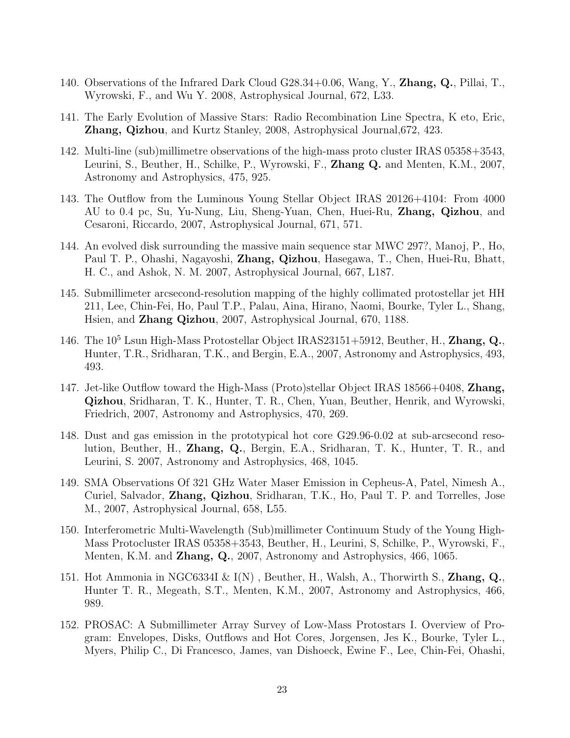- 140. Observations of the Infrared Dark Cloud  $G28.34+0.06$ , Wang, Y., **Zhang, Q.**, Pillai, T., Wyrowski, F., and Wu Y. 2008, Astrophysical Journal, 672, L33.
- 141. The Early Evolution of Massive Stars: Radio Recombination Line Spectra, K eto, Eric, Zhang, Qizhou, and Kurtz Stanley, 2008, Astrophysical Journal,672, 423.
- 142. Multi-line (sub)millimetre observations of the high-mass proto cluster IRAS 05358+3543, Leurini, S., Beuther, H., Schilke, P., Wyrowski, F., Zhang Q. and Menten, K.M., 2007, Astronomy and Astrophysics, 475, 925.
- 143. The Outflow from the Luminous Young Stellar Object IRAS 20126+4104: From 4000 AU to 0.4 pc, Su, Yu-Nung, Liu, Sheng-Yuan, Chen, Huei-Ru, Zhang, Qizhou, and Cesaroni, Riccardo, 2007, Astrophysical Journal, 671, 571.
- 144. An evolved disk surrounding the massive main sequence star MWC 297?, Manoj, P., Ho, Paul T. P., Ohashi, Nagayoshi, Zhang, Qizhou, Hasegawa, T., Chen, Huei-Ru, Bhatt, H. C., and Ashok, N. M. 2007, Astrophysical Journal, 667, L187.
- 145. Submillimeter arcsecond-resolution mapping of the highly collimated protostellar jet HH 211, Lee, Chin-Fei, Ho, Paul T.P., Palau, Aina, Hirano, Naomi, Bourke, Tyler L., Shang, Hsien, and Zhang Qizhou, 2007, Astrophysical Journal, 670, 1188.
- 146. The  $10^5$  Lsun High-Mass Protostellar Object IRAS23151+5912, Beuther, H., Zhang, Q., Hunter, T.R., Sridharan, T.K., and Bergin, E.A., 2007, Astronomy and Astrophysics, 493, 493.
- 147. Jet-like Outflow toward the High-Mass (Proto)stellar Object IRAS 18566+0408, Zhang, Qizhou, Sridharan, T. K., Hunter, T. R., Chen, Yuan, Beuther, Henrik, and Wyrowski, Friedrich, 2007, Astronomy and Astrophysics, 470, 269.
- 148. Dust and gas emission in the prototypical hot core G29.96-0.02 at sub-arcsecond resolution, Beuther, H., Zhang, Q., Bergin, E.A., Sridharan, T. K., Hunter, T. R., and Leurini, S. 2007, Astronomy and Astrophysics, 468, 1045.
- 149. SMA Observations Of 321 GHz Water Maser Emission in Cepheus-A, Patel, Nimesh A., Curiel, Salvador, Zhang, Qizhou, Sridharan, T.K., Ho, Paul T. P. and Torrelles, Jose M., 2007, Astrophysical Journal, 658, L55.
- 150. Interferometric Multi-Wavelength (Sub)millimeter Continuum Study of the Young High-Mass Protocluster IRAS 05358+3543, Beuther, H., Leurini, S, Schilke, P., Wyrowski, F., Menten, K.M. and Zhang, Q., 2007, Astronomy and Astrophysics, 466, 1065.
- 151. Hot Ammonia in NGC6334I  $\&$  I(N), Beuther, H., Walsh, A., Thorwirth S., Zhang, Q., Hunter T. R., Megeath, S.T., Menten, K.M., 2007, Astronomy and Astrophysics, 466, 989.
- 152. PROSAC: A Submillimeter Array Survey of Low-Mass Protostars I. Overview of Program: Envelopes, Disks, Outflows and Hot Cores, Jorgensen, Jes K., Bourke, Tyler L., Myers, Philip C., Di Francesco, James, van Dishoeck, Ewine F., Lee, Chin-Fei, Ohashi,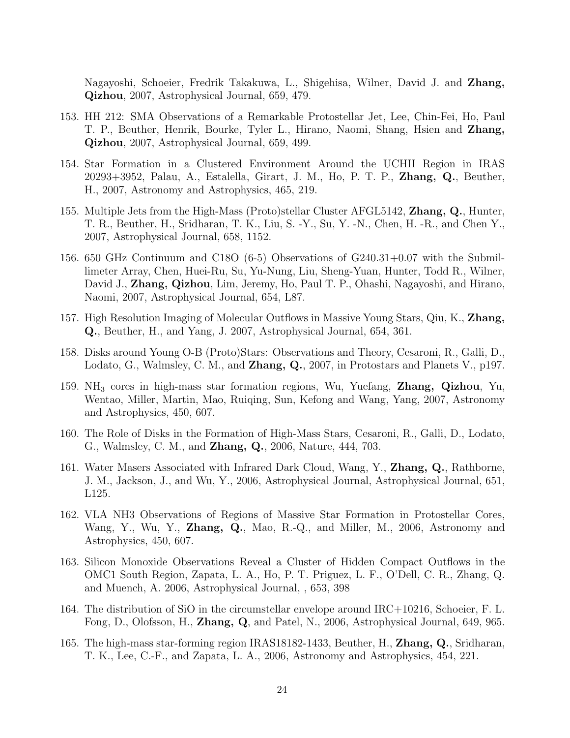Nagayoshi, Schoeier, Fredrik Takakuwa, L., Shigehisa, Wilner, David J. and Zhang, Qizhou, 2007, Astrophysical Journal, 659, 479.

- 153. HH 212: SMA Observations of a Remarkable Protostellar Jet, Lee, Chin-Fei, Ho, Paul T. P., Beuther, Henrik, Bourke, Tyler L., Hirano, Naomi, Shang, Hsien and Zhang, Qizhou, 2007, Astrophysical Journal, 659, 499.
- 154. Star Formation in a Clustered Environment Around the UCHII Region in IRAS 20293+3952, Palau, A., Estalella, Girart, J. M., Ho, P. T. P., Zhang, Q., Beuther, H., 2007, Astronomy and Astrophysics, 465, 219.
- 155. Multiple Jets from the High-Mass (Proto)stellar Cluster AFGL5142, Zhang, Q., Hunter, T. R., Beuther, H., Sridharan, T. K., Liu, S. -Y., Su, Y. -N., Chen, H. -R., and Chen Y., 2007, Astrophysical Journal, 658, 1152.
- 156. 650 GHz Continuum and C18O (6-5) Observations of G240.31+0.07 with the Submillimeter Array, Chen, Huei-Ru, Su, Yu-Nung, Liu, Sheng-Yuan, Hunter, Todd R., Wilner, David J., Zhang, Qizhou, Lim, Jeremy, Ho, Paul T. P., Ohashi, Nagayoshi, and Hirano, Naomi, 2007, Astrophysical Journal, 654, L87.
- 157. High Resolution Imaging of Molecular Outflows in Massive Young Stars, Qiu, K., Zhang, Q., Beuther, H., and Yang, J. 2007, Astrophysical Journal, 654, 361.
- 158. Disks around Young O-B (Proto)Stars: Observations and Theory, Cesaroni, R., Galli, D., Lodato, G., Walmsley, C. M., and **Zhang, Q.**, 2007, in Protostars and Planets V., p197.
- 159. NH<sub>3</sub> cores in high-mass star formation regions, Wu, Yuefang, **Zhang, Qizhou**, Yu, Wentao, Miller, Martin, Mao, Ruiqing, Sun, Kefong and Wang, Yang, 2007, Astronomy and Astrophysics, 450, 607.
- 160. The Role of Disks in the Formation of High-Mass Stars, Cesaroni, R., Galli, D., Lodato, G., Walmsley, C. M., and Zhang, Q., 2006, Nature, 444, 703.
- 161. Water Masers Associated with Infrared Dark Cloud, Wang, Y., Zhang, Q., Rathborne, J. M., Jackson, J., and Wu, Y., 2006, Astrophysical Journal, Astrophysical Journal, 651, L125.
- 162. VLA NH3 Observations of Regions of Massive Star Formation in Protostellar Cores, Wang, Y., Wu, Y., Zhang, Q., Mao, R.-Q., and Miller, M., 2006, Astronomy and Astrophysics, 450, 607.
- 163. Silicon Monoxide Observations Reveal a Cluster of Hidden Compact Outflows in the OMC1 South Region, Zapata, L. A., Ho, P. T. Priguez, L. F., O'Dell, C. R., Zhang, Q. and Muench, A. 2006, Astrophysical Journal, , 653, 398
- 164. The distribution of SiO in the circumstellar envelope around IRC+10216, Schoeier, F. L. Fong, D., Olofsson, H., Zhang, Q, and Patel, N., 2006, Astrophysical Journal, 649, 965.
- 165. The high-mass star-forming region IRAS18182-1433, Beuther, H., Zhang, Q., Sridharan, T. K., Lee, C.-F., and Zapata, L. A., 2006, Astronomy and Astrophysics, 454, 221.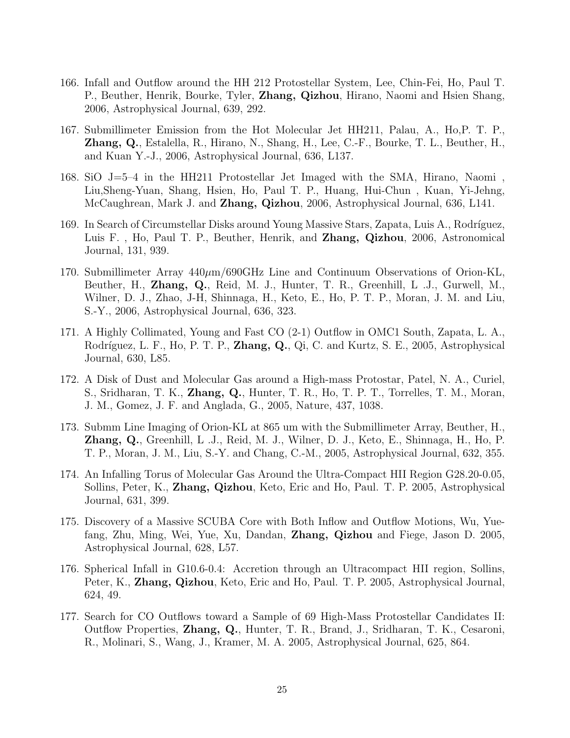- 166. Infall and Outflow around the HH 212 Protostellar System, Lee, Chin-Fei, Ho, Paul T. P., Beuther, Henrik, Bourke, Tyler, **Zhang, Qizhou**, Hirano, Naomi and Hsien Shang, 2006, Astrophysical Journal, 639, 292.
- 167. Submillimeter Emission from the Hot Molecular Jet HH211, Palau, A., Ho,P. T. P., Zhang, Q., Estalella, R., Hirano, N., Shang, H., Lee, C.-F., Bourke, T. L., Beuther, H., and Kuan Y.-J., 2006, Astrophysical Journal, 636, L137.
- 168. SiO J=5–4 in the HH211 Protostellar Jet Imaged with the SMA, Hirano, Naomi , Liu,Sheng-Yuan, Shang, Hsien, Ho, Paul T. P., Huang, Hui-Chun , Kuan, Yi-Jehng, McCaughrean, Mark J. and Zhang, Qizhou, 2006, Astrophysical Journal, 636, L141.
- 169. In Search of Circumstellar Disks around Young Massive Stars, Zapata, Luis A., Rodríguez, Luis F. , Ho, Paul T. P., Beuther, Henrik, and Zhang, Qizhou, 2006, Astronomical Journal, 131, 939.
- 170. Submillimeter Array  $440 \mu m/690 \text{GHz}$  Line and Continuum Observations of Orion-KL, Beuther, H., Zhang, Q., Reid, M. J., Hunter, T. R., Greenhill, L .J., Gurwell, M., Wilner, D. J., Zhao, J-H, Shinnaga, H., Keto, E., Ho, P. T. P., Moran, J. M. and Liu, S.-Y., 2006, Astrophysical Journal, 636, 323.
- 171. A Highly Collimated, Young and Fast CO (2-1) Outflow in OMC1 South, Zapata, L. A., Rodríguez, L. F., Ho, P. T. P., **Zhang, Q.**, Qi, C. and Kurtz, S. E., 2005, Astrophysical Journal, 630, L85.
- 172. A Disk of Dust and Molecular Gas around a High-mass Protostar, Patel, N. A., Curiel, S., Sridharan, T. K., Zhang, Q., Hunter, T. R., Ho, T. P. T., Torrelles, T. M., Moran, J. M., Gomez, J. F. and Anglada, G., 2005, Nature, 437, 1038.
- 173. Submm Line Imaging of Orion-KL at 865 um with the Submillimeter Array, Beuther, H., Zhang, Q., Greenhill, L .J., Reid, M. J., Wilner, D. J., Keto, E., Shinnaga, H., Ho, P. T. P., Moran, J. M., Liu, S.-Y. and Chang, C.-M., 2005, Astrophysical Journal, 632, 355.
- 174. An Infalling Torus of Molecular Gas Around the Ultra-Compact HII Region G28.20-0.05, Sollins, Peter, K., Zhang, Qizhou, Keto, Eric and Ho, Paul. T. P. 2005, Astrophysical Journal, 631, 399.
- 175. Discovery of a Massive SCUBA Core with Both Inflow and Outflow Motions, Wu, Yuefang, Zhu, Ming, Wei, Yue, Xu, Dandan, Zhang, Qizhou and Fiege, Jason D. 2005, Astrophysical Journal, 628, L57.
- 176. Spherical Infall in G10.6-0.4: Accretion through an Ultracompact HII region, Sollins, Peter, K., Zhang, Qizhou, Keto, Eric and Ho, Paul. T. P. 2005, Astrophysical Journal, 624, 49.
- 177. Search for CO Outflows toward a Sample of 69 High-Mass Protostellar Candidates II: Outflow Properties, Zhang, Q., Hunter, T. R., Brand, J., Sridharan, T. K., Cesaroni, R., Molinari, S., Wang, J., Kramer, M. A. 2005, Astrophysical Journal, 625, 864.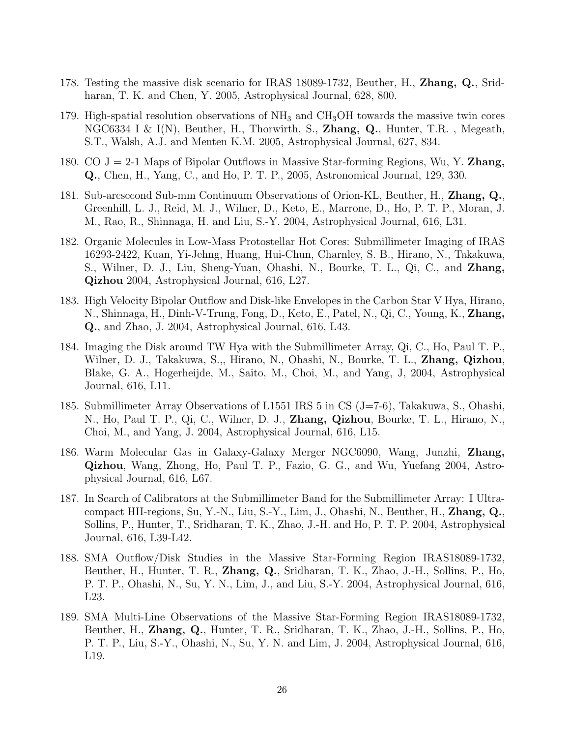- 178. Testing the massive disk scenario for IRAS 18089-1732, Beuther, H., Zhang, Q., Sridharan, T. K. and Chen, Y. 2005, Astrophysical Journal, 628, 800.
- 179. High-spatial resolution observations of  $NH_3$  and  $CH_3OH$  towards the massive twin cores NGC6334 I & I(N), Beuther, H., Thorwirth, S., **Zhang, Q.**, Hunter, T.R., Megeath, S.T., Walsh, A.J. and Menten K.M. 2005, Astrophysical Journal, 627, 834.
- 180. CO  $J = 2-1$  Maps of Bipolar Outflows in Massive Star-forming Regions, Wu, Y. **Zhang,** Q., Chen, H., Yang, C., and Ho, P. T. P., 2005, Astronomical Journal, 129, 330.
- 181. Sub-arcsecond Sub-mm Continuum Observations of Orion-KL, Beuther, H., Zhang, Q., Greenhill, L. J., Reid, M. J., Wilner, D., Keto, E., Marrone, D., Ho, P. T. P., Moran, J. M., Rao, R., Shinnaga, H. and Liu, S.-Y. 2004, Astrophysical Journal, 616, L31.
- 182. Organic Molecules in Low-Mass Protostellar Hot Cores: Submillimeter Imaging of IRAS 16293-2422, Kuan, Yi-Jehng, Huang, Hui-Chun, Charnley, S. B., Hirano, N., Takakuwa, S., Wilner, D. J., Liu, Sheng-Yuan, Ohashi, N., Bourke, T. L., Qi, C., and Zhang, Qizhou 2004, Astrophysical Journal, 616, L27.
- 183. High Velocity Bipolar Outflow and Disk-like Envelopes in the Carbon Star V Hya, Hirano, N., Shinnaga, H., Dinh-V-Trung, Fong, D., Keto, E., Patel, N., Qi, C., Young, K., Zhang, Q., and Zhao, J. 2004, Astrophysical Journal, 616, L43.
- 184. Imaging the Disk around TW Hya with the Submillimeter Array, Qi, C., Ho, Paul T. P., Wilner, D. J., Takakuwa, S.,, Hirano, N., Ohashi, N., Bourke, T. L., Zhang, Qizhou, Blake, G. A., Hogerheijde, M., Saito, M., Choi, M., and Yang, J, 2004, Astrophysical Journal, 616, L11.
- 185. Submillimeter Array Observations of L1551 IRS 5 in CS (J=7-6), Takakuwa, S., Ohashi, N., Ho, Paul T. P., Qi, C., Wilner, D. J., Zhang, Qizhou, Bourke, T. L., Hirano, N., Choi, M., and Yang, J. 2004, Astrophysical Journal, 616, L15.
- 186. Warm Molecular Gas in Galaxy-Galaxy Merger NGC6090, Wang, Junzhi, Zhang, Qizhou, Wang, Zhong, Ho, Paul T. P., Fazio, G. G., and Wu, Yuefang 2004, Astrophysical Journal, 616, L67.
- 187. In Search of Calibrators at the Submillimeter Band for the Submillimeter Array: I Ultracompact HII-regions, Su, Y.-N., Liu, S.-Y., Lim, J., Ohashi, N., Beuther, H., Zhang, Q., Sollins, P., Hunter, T., Sridharan, T. K., Zhao, J.-H. and Ho, P. T. P. 2004, Astrophysical Journal, 616, L39-L42.
- 188. SMA Outflow/Disk Studies in the Massive Star-Forming Region IRAS18089-1732, Beuther, H., Hunter, T. R., Zhang, Q., Sridharan, T. K., Zhao, J.-H., Sollins, P., Ho, P. T. P., Ohashi, N., Su, Y. N., Lim, J., and Liu, S.-Y. 2004, Astrophysical Journal, 616, L23.
- 189. SMA Multi-Line Observations of the Massive Star-Forming Region IRAS18089-1732, Beuther, H., Zhang, Q., Hunter, T. R., Sridharan, T. K., Zhao, J.-H., Sollins, P., Ho, P. T. P., Liu, S.-Y., Ohashi, N., Su, Y. N. and Lim, J. 2004, Astrophysical Journal, 616, L19.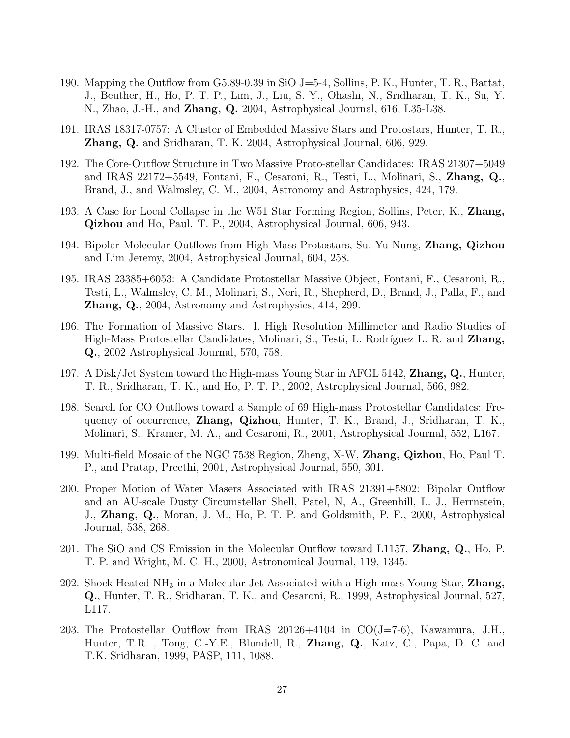- 190. Mapping the Outflow from G5.89-0.39 in SiO J=5-4, Sollins, P. K., Hunter, T. R., Battat, J., Beuther, H., Ho, P. T. P., Lim, J., Liu, S. Y., Ohashi, N., Sridharan, T. K., Su, Y. N., Zhao, J.-H., and Zhang, Q. 2004, Astrophysical Journal, 616, L35-L38.
- 191. IRAS 18317-0757: A Cluster of Embedded Massive Stars and Protostars, Hunter, T. R., Zhang, Q. and Sridharan, T. K. 2004, Astrophysical Journal, 606, 929.
- 192. The Core-Outflow Structure in Two Massive Proto-stellar Candidates: IRAS 21307+5049 and IRAS 22172+5549, Fontani, F., Cesaroni, R., Testi, L., Molinari, S., Zhang, Q., Brand, J., and Walmsley, C. M., 2004, Astronomy and Astrophysics, 424, 179.
- 193. A Case for Local Collapse in the W51 Star Forming Region, Sollins, Peter, K., Zhang, Qizhou and Ho, Paul. T. P., 2004, Astrophysical Journal, 606, 943.
- 194. Bipolar Molecular Outflows from High-Mass Protostars, Su, Yu-Nung, Zhang, Qizhou and Lim Jeremy, 2004, Astrophysical Journal, 604, 258.
- 195. IRAS 23385+6053: A Candidate Protostellar Massive Object, Fontani, F., Cesaroni, R., Testi, L., Walmsley, C. M., Molinari, S., Neri, R., Shepherd, D., Brand, J., Palla, F., and Zhang, Q., 2004, Astronomy and Astrophysics, 414, 299.
- 196. The Formation of Massive Stars. I. High Resolution Millimeter and Radio Studies of High-Mass Protostellar Candidates, Molinari, S., Testi, L. Rodríguez L. R. and **Zhang,** Q., 2002 Astrophysical Journal, 570, 758.
- 197. A Disk/Jet System toward the High-mass Young Star in AFGL 5142, **Zhang, Q.**, Hunter, T. R., Sridharan, T. K., and Ho, P. T. P., 2002, Astrophysical Journal, 566, 982.
- 198. Search for CO Outflows toward a Sample of 69 High-mass Protostellar Candidates: Frequency of occurrence, Zhang, Qizhou, Hunter, T. K., Brand, J., Sridharan, T. K., Molinari, S., Kramer, M. A., and Cesaroni, R., 2001, Astrophysical Journal, 552, L167.
- 199. Multi-field Mosaic of the NGC 7538 Region, Zheng, X-W, **Zhang, Qizhou**, Ho, Paul T. P., and Pratap, Preethi, 2001, Astrophysical Journal, 550, 301.
- 200. Proper Motion of Water Masers Associated with IRAS 21391+5802: Bipolar Outflow and an AU-scale Dusty Circumstellar Shell, Patel, N, A., Greenhill, L. J., Herrnstein, J., Zhang, Q., Moran, J. M., Ho, P. T. P. and Goldsmith, P. F., 2000, Astrophysical Journal, 538, 268.
- 201. The SiO and CS Emission in the Molecular Outflow toward L1157, Zhang, Q., Ho, P. T. P. and Wright, M. C. H., 2000, Astronomical Journal, 119, 1345.
- 202. Shock Heated  $NH_3$  in a Molecular Jet Associated with a High-mass Young Star, Zhang, Q., Hunter, T. R., Sridharan, T. K., and Cesaroni, R., 1999, Astrophysical Journal, 527, L117.
- 203. The Protostellar Outflow from IRAS 20126+4104 in CO(J=7-6), Kawamura, J.H., Hunter, T.R. , Tong, C.-Y.E., Blundell, R., Zhang, Q., Katz, C., Papa, D. C. and T.K. Sridharan, 1999, PASP, 111, 1088.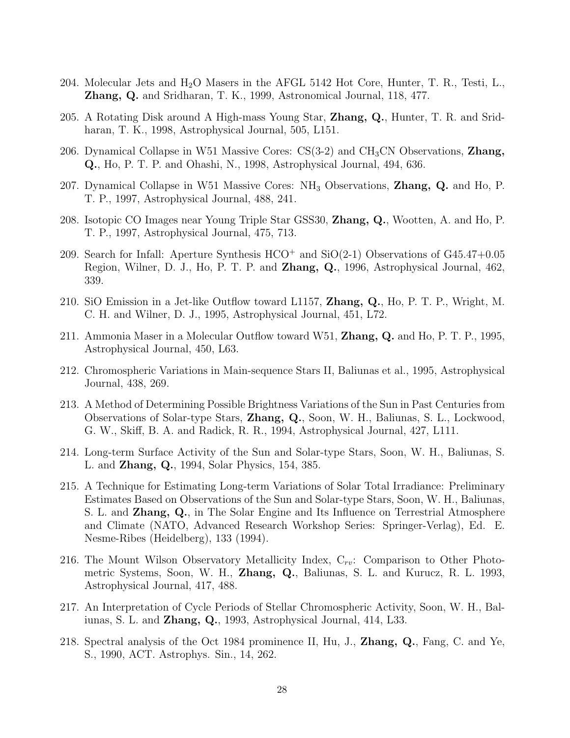- 204. Molecular Jets and  $H_2O$  Masers in the AFGL 5142 Hot Core, Hunter, T. R., Testi, L., **Zhang, Q.** and Sridharan, T. K., 1999, Astronomical Journal, 118, 477.
- 205. A Rotating Disk around A High-mass Young Star, Zhang, Q., Hunter, T. R. and Sridharan, T. K., 1998, Astrophysical Journal, 505, L151.
- 206. Dynamical Collapse in W51 Massive Cores:  $CS(3-2)$  and  $CH<sub>3</sub>CN$  Observations, **Zhang**, Q., Ho, P. T. P. and Ohashi, N., 1998, Astrophysical Journal, 494, 636.
- 207. Dynamical Collapse in W51 Massive Cores: NH<sup>3</sup> Observations, Zhang, Q. and Ho, P. T. P., 1997, Astrophysical Journal, 488, 241.
- 208. Isotopic CO Images near Young Triple Star GSS30, Zhang, Q., Wootten, A. and Ho, P. T. P., 1997, Astrophysical Journal, 475, 713.
- 209. Search for Infall: Aperture Synthesis  $HCO^+$  and  $SiO(2-1)$  Observations of  $G45.47+0.05$ Region, Wilner, D. J., Ho, P. T. P. and Zhang, Q., 1996, Astrophysical Journal, 462, 339.
- 210. SiO Emission in a Jet-like Outflow toward L1157, Zhang, Q., Ho, P. T. P., Wright, M. C. H. and Wilner, D. J., 1995, Astrophysical Journal, 451, L72.
- 211. Ammonia Maser in a Molecular Outflow toward W51, **Zhang, Q.** and Ho, P. T. P., 1995, Astrophysical Journal, 450, L63.
- 212. Chromospheric Variations in Main-sequence Stars II, Baliunas et al., 1995, Astrophysical Journal, 438, 269.
- 213. A Method of Determining Possible Brightness Variations of the Sun in Past Centuries from Observations of Solar-type Stars, Zhang, Q., Soon, W. H., Baliunas, S. L., Lockwood, G. W., Skiff, B. A. and Radick, R. R., 1994, Astrophysical Journal, 427, L111.
- 214. Long-term Surface Activity of the Sun and Solar-type Stars, Soon, W. H., Baliunas, S. L. and Zhang, Q., 1994, Solar Physics, 154, 385.
- 215. A Technique for Estimating Long-term Variations of Solar Total Irradiance: Preliminary Estimates Based on Observations of the Sun and Solar-type Stars, Soon, W. H., Baliunas, S. L. and Zhang, Q., in The Solar Engine and Its Influence on Terrestrial Atmosphere and Climate (NATO, Advanced Research Workshop Series: Springer-Verlag), Ed. E. Nesme-Ribes (Heidelberg), 133 (1994).
- 216. The Mount Wilson Observatory Metallicity Index,  $C_{rv}$ : Comparison to Other Photometric Systems, Soon, W. H., Zhang, Q., Baliunas, S. L. and Kurucz, R. L. 1993, Astrophysical Journal, 417, 488.
- 217. An Interpretation of Cycle Periods of Stellar Chromospheric Activity, Soon, W. H., Baliunas, S. L. and Zhang, Q., 1993, Astrophysical Journal, 414, L33.
- 218. Spectral analysis of the Oct 1984 prominence II, Hu, J., Zhang, Q., Fang, C. and Ye, S., 1990, ACT. Astrophys. Sin., 14, 262.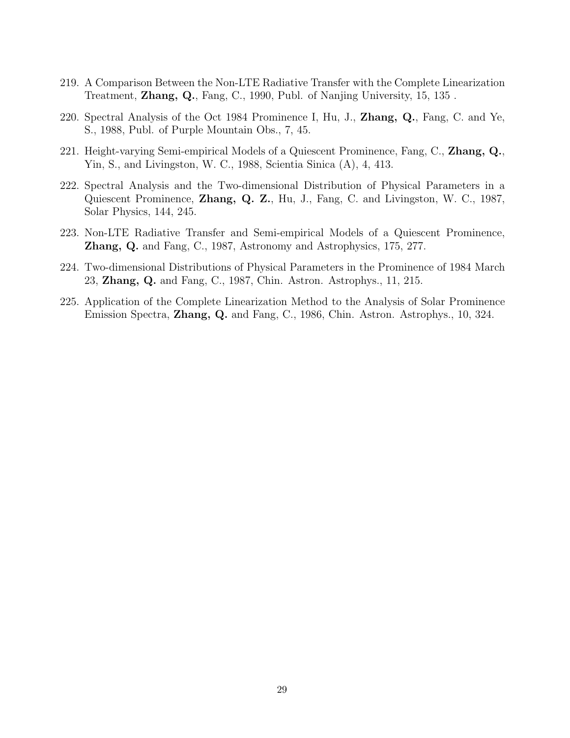- 219. A Comparison Between the Non-LTE Radiative Transfer with the Complete Linearization Treatment, Zhang, Q., Fang, C., 1990, Publ. of Nanjing University, 15, 135 .
- 220. Spectral Analysis of the Oct 1984 Prominence I, Hu, J., Zhang, Q., Fang, C. and Ye, S., 1988, Publ. of Purple Mountain Obs., 7, 45.
- 221. Height-varying Semi-empirical Models of a Quiescent Prominence, Fang, C., **Zhang, Q.**, Yin, S., and Livingston, W. C., 1988, Scientia Sinica (A), 4, 413.
- 222. Spectral Analysis and the Two-dimensional Distribution of Physical Parameters in a Quiescent Prominence, Zhang, Q. Z., Hu, J., Fang, C. and Livingston, W. C., 1987, Solar Physics, 144, 245.
- 223. Non-LTE Radiative Transfer and Semi-empirical Models of a Quiescent Prominence, Zhang, Q. and Fang, C., 1987, Astronomy and Astrophysics, 175, 277.
- 224. Two-dimensional Distributions of Physical Parameters in the Prominence of 1984 March 23, Zhang, Q. and Fang, C., 1987, Chin. Astron. Astrophys., 11, 215.
- 225. Application of the Complete Linearization Method to the Analysis of Solar Prominence Emission Spectra, Zhang, Q. and Fang, C., 1986, Chin. Astron. Astrophys., 10, 324.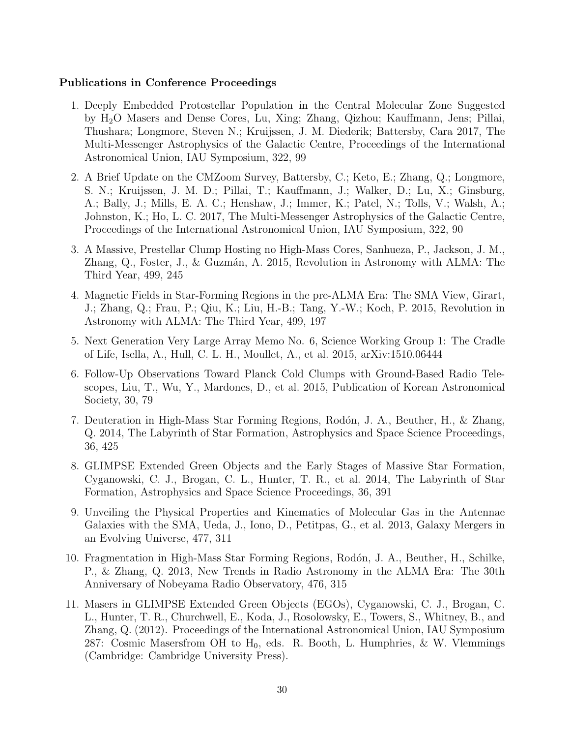# Publications in Conference Proceedings

- 1. Deeply Embedded Protostellar Population in the Central Molecular Zone Suggested by H2O Masers and Dense Cores, Lu, Xing; Zhang, Qizhou; Kauffmann, Jens; Pillai, Thushara; Longmore, Steven N.; Kruijssen, J. M. Diederik; Battersby, Cara 2017, The Multi-Messenger Astrophysics of the Galactic Centre, Proceedings of the International Astronomical Union, IAU Symposium, 322, 99
- 2. A Brief Update on the CMZoom Survey, Battersby, C.; Keto, E.; Zhang, Q.; Longmore, S. N.; Kruijssen, J. M. D.; Pillai, T.; Kauffmann, J.; Walker, D.; Lu, X.; Ginsburg, A.; Bally, J.; Mills, E. A. C.; Henshaw, J.; Immer, K.; Patel, N.; Tolls, V.; Walsh, A.; Johnston, K.; Ho, L. C. 2017, The Multi-Messenger Astrophysics of the Galactic Centre, Proceedings of the International Astronomical Union, IAU Symposium, 322, 90
- 3. A Massive, Prestellar Clump Hosting no High-Mass Cores, Sanhueza, P., Jackson, J. M., Zhang, Q., Foster, J., & Guzmán, A. 2015, Revolution in Astronomy with ALMA: The Third Year, 499, 245
- 4. Magnetic Fields in Star-Forming Regions in the pre-ALMA Era: The SMA View, Girart, J.; Zhang, Q.; Frau, P.; Qiu, K.; Liu, H.-B.; Tang, Y.-W.; Koch, P. 2015, Revolution in Astronomy with ALMA: The Third Year, 499, 197
- 5. Next Generation Very Large Array Memo No. 6, Science Working Group 1: The Cradle of Life, Isella, A., Hull, C. L. H., Moullet, A., et al. 2015, arXiv:1510.06444
- 6. Follow-Up Observations Toward Planck Cold Clumps with Ground-Based Radio Telescopes, Liu, T., Wu, Y., Mardones, D., et al. 2015, Publication of Korean Astronomical Society, 30, 79
- 7. Deuteration in High-Mass Star Forming Regions, Rodón, J. A., Beuther, H., & Zhang, Q. 2014, The Labyrinth of Star Formation, Astrophysics and Space Science Proceedings, 36, 425
- 8. GLIMPSE Extended Green Objects and the Early Stages of Massive Star Formation, Cyganowski, C. J., Brogan, C. L., Hunter, T. R., et al. 2014, The Labyrinth of Star Formation, Astrophysics and Space Science Proceedings, 36, 391
- 9. Unveiling the Physical Properties and Kinematics of Molecular Gas in the Antennae Galaxies with the SMA, Ueda, J., Iono, D., Petitpas, G., et al. 2013, Galaxy Mergers in an Evolving Universe, 477, 311
- 10. Fragmentation in High-Mass Star Forming Regions, Rodón, J. A., Beuther, H., Schilke, P., & Zhang, Q. 2013, New Trends in Radio Astronomy in the ALMA Era: The 30th Anniversary of Nobeyama Radio Observatory, 476, 315
- 11. Masers in GLIMPSE Extended Green Objects (EGOs), Cyganowski, C. J., Brogan, C. L., Hunter, T. R., Churchwell, E., Koda, J., Rosolowsky, E., Towers, S., Whitney, B., and Zhang, Q. (2012). Proceedings of the International Astronomical Union, IAU Symposium 287: Cosmic Masersfrom OH to  $H_0$ , eds. R. Booth, L. Humphries, & W. Vlemmings (Cambridge: Cambridge University Press).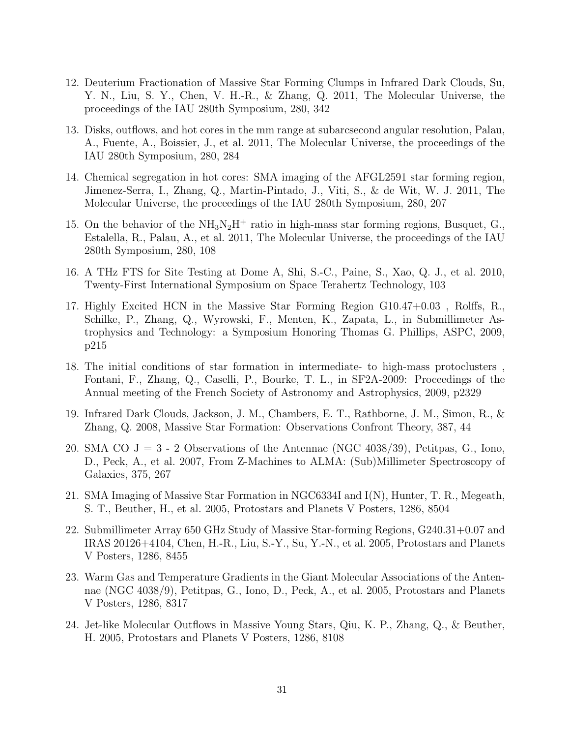- 12. Deuterium Fractionation of Massive Star Forming Clumps in Infrared Dark Clouds, Su, Y. N., Liu, S. Y., Chen, V. H.-R., & Zhang, Q. 2011, The Molecular Universe, the proceedings of the IAU 280th Symposium, 280, 342
- 13. Disks, outflows, and hot cores in the mm range at subarcsecond angular resolution, Palau, A., Fuente, A., Boissier, J., et al. 2011, The Molecular Universe, the proceedings of the IAU 280th Symposium, 280, 284
- 14. Chemical segregation in hot cores: SMA imaging of the AFGL2591 star forming region, Jimenez-Serra, I., Zhang, Q., Martin-Pintado, J., Viti, S., & de Wit, W. J. 2011, The Molecular Universe, the proceedings of the IAU 280th Symposium, 280, 207
- 15. On the behavior of the  $NH_3N_2H^+$  ratio in high-mass star forming regions, Busquet, G., Estalella, R., Palau, A., et al. 2011, The Molecular Universe, the proceedings of the IAU 280th Symposium, 280, 108
- 16. A THz FTS for Site Testing at Dome A, Shi, S.-C., Paine, S., Xao, Q. J., et al. 2010, Twenty-First International Symposium on Space Terahertz Technology, 103
- 17. Highly Excited HCN in the Massive Star Forming Region G10.47+0.03 , Rolffs, R., Schilke, P., Zhang, Q., Wyrowski, F., Menten, K., Zapata, L., in Submillimeter Astrophysics and Technology: a Symposium Honoring Thomas G. Phillips, ASPC, 2009, p215
- 18. The initial conditions of star formation in intermediate- to high-mass protoclusters , Fontani, F., Zhang, Q., Caselli, P., Bourke, T. L., in SF2A-2009: Proceedings of the Annual meeting of the French Society of Astronomy and Astrophysics, 2009, p2329
- 19. Infrared Dark Clouds, Jackson, J. M., Chambers, E. T., Rathborne, J. M., Simon, R., & Zhang, Q. 2008, Massive Star Formation: Observations Confront Theory, 387, 44
- 20. SMA CO  $J = 3$  2 Observations of the Antennae (NGC 4038/39), Petitpas, G., Iono, D., Peck, A., et al. 2007, From Z-Machines to ALMA: (Sub)Millimeter Spectroscopy of Galaxies, 375, 267
- 21. SMA Imaging of Massive Star Formation in NGC6334I and I(N), Hunter, T. R., Megeath, S. T., Beuther, H., et al. 2005, Protostars and Planets V Posters, 1286, 8504
- 22. Submillimeter Array 650 GHz Study of Massive Star-forming Regions, G240.31+0.07 and IRAS 20126+4104, Chen, H.-R., Liu, S.-Y., Su, Y.-N., et al. 2005, Protostars and Planets V Posters, 1286, 8455
- 23. Warm Gas and Temperature Gradients in the Giant Molecular Associations of the Antennae (NGC 4038/9), Petitpas, G., Iono, D., Peck, A., et al. 2005, Protostars and Planets V Posters, 1286, 8317
- 24. Jet-like Molecular Outflows in Massive Young Stars, Qiu, K. P., Zhang, Q., & Beuther, H. 2005, Protostars and Planets V Posters, 1286, 8108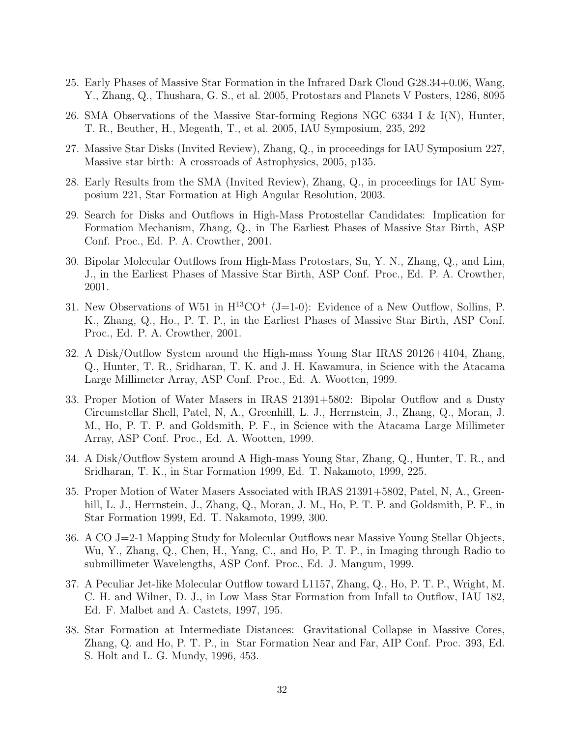- 25. Early Phases of Massive Star Formation in the Infrared Dark Cloud G28.34+0.06, Wang, Y., Zhang, Q., Thushara, G. S., et al. 2005, Protostars and Planets V Posters, 1286, 8095
- 26. SMA Observations of the Massive Star-forming Regions NGC 6334 I & I(N), Hunter, T. R., Beuther, H., Megeath, T., et al. 2005, IAU Symposium, 235, 292
- 27. Massive Star Disks (Invited Review), Zhang, Q., in proceedings for IAU Symposium 227, Massive star birth: A crossroads of Astrophysics, 2005, p135.
- 28. Early Results from the SMA (Invited Review), Zhang, Q., in proceedings for IAU Symposium 221, Star Formation at High Angular Resolution, 2003.
- 29. Search for Disks and Outflows in High-Mass Protostellar Candidates: Implication for Formation Mechanism, Zhang, Q., in The Earliest Phases of Massive Star Birth, ASP Conf. Proc., Ed. P. A. Crowther, 2001.
- 30. Bipolar Molecular Outflows from High-Mass Protostars, Su, Y. N., Zhang, Q., and Lim, J., in the Earliest Phases of Massive Star Birth, ASP Conf. Proc., Ed. P. A. Crowther, 2001.
- 31. New Observations of W51 in  $H^{13}CO<sup>+</sup>$  (J=1-0): Evidence of a New Outflow, Sollins, P. K., Zhang, Q., Ho., P. T. P., in the Earliest Phases of Massive Star Birth, ASP Conf. Proc., Ed. P. A. Crowther, 2001.
- 32. A Disk/Outflow System around the High-mass Young Star IRAS 20126+4104, Zhang, Q., Hunter, T. R., Sridharan, T. K. and J. H. Kawamura, in Science with the Atacama Large Millimeter Array, ASP Conf. Proc., Ed. A. Wootten, 1999.
- 33. Proper Motion of Water Masers in IRAS 21391+5802: Bipolar Outflow and a Dusty Circumstellar Shell, Patel, N, A., Greenhill, L. J., Herrnstein, J., Zhang, Q., Moran, J. M., Ho, P. T. P. and Goldsmith, P. F., in Science with the Atacama Large Millimeter Array, ASP Conf. Proc., Ed. A. Wootten, 1999.
- 34. A Disk/Outflow System around A High-mass Young Star, Zhang, Q., Hunter, T. R., and Sridharan, T. K., in Star Formation 1999, Ed. T. Nakamoto, 1999, 225.
- 35. Proper Motion of Water Masers Associated with IRAS 21391+5802, Patel, N, A., Greenhill, L. J., Herrnstein, J., Zhang, Q., Moran, J. M., Ho, P. T. P. and Goldsmith, P. F., in Star Formation 1999, Ed. T. Nakamoto, 1999, 300.
- 36. A CO J=2-1 Mapping Study for Molecular Outflows near Massive Young Stellar Objects, Wu, Y., Zhang, Q., Chen, H., Yang, C., and Ho, P. T. P., in Imaging through Radio to submillimeter Wavelengths, ASP Conf. Proc., Ed. J. Mangum, 1999.
- 37. A Peculiar Jet-like Molecular Outflow toward L1157, Zhang, Q., Ho, P. T. P., Wright, M. C. H. and Wilner, D. J., in Low Mass Star Formation from Infall to Outflow, IAU 182, Ed. F. Malbet and A. Castets, 1997, 195.
- 38. Star Formation at Intermediate Distances: Gravitational Collapse in Massive Cores, Zhang, Q. and Ho, P. T. P., in Star Formation Near and Far, AIP Conf. Proc. 393, Ed. S. Holt and L. G. Mundy, 1996, 453.